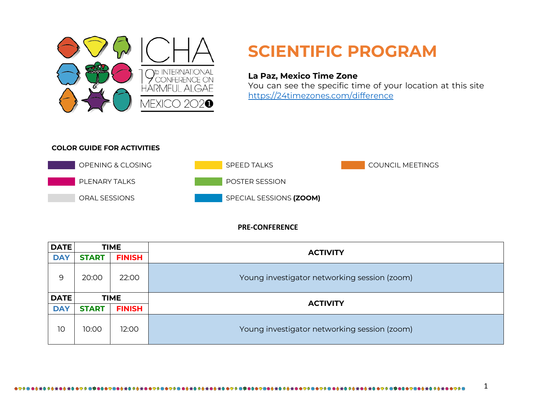

## **SCIENTIFIC PROGRAM**

## **La Paz, Mexico Time Zone**

You can see the specific time of your location at this site https://24timezones.com/difference

## **COLOR GUIDE FOR ACTIVITIES**



## **PRE-CONFERENCE**

| <b>DATE</b> | <b>TIME</b>  |               | <b>ACTIVITY</b>                              |  |
|-------------|--------------|---------------|----------------------------------------------|--|
| <b>DAY</b>  | <b>START</b> | <b>FINISH</b> |                                              |  |
| 9           | 20:00        | 22:00         | Young investigator networking session (zoom) |  |
|             |              |               |                                              |  |
| <b>DATE</b> |              | <b>TIME</b>   |                                              |  |
| <b>DAY</b>  | <b>START</b> | <b>FINISH</b> | <b>ACTIVITY</b>                              |  |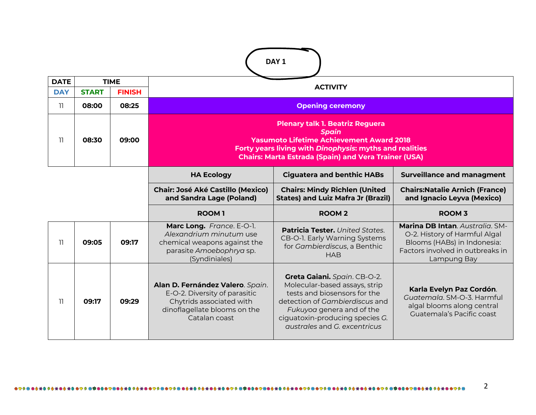|             | DAY <sub>1</sub> |               |                                                                                                                                                                                                                                     |                                                                                                                                                                                                                                 |                                                                                                                                                    |  |  |  |  |
|-------------|------------------|---------------|-------------------------------------------------------------------------------------------------------------------------------------------------------------------------------------------------------------------------------------|---------------------------------------------------------------------------------------------------------------------------------------------------------------------------------------------------------------------------------|----------------------------------------------------------------------------------------------------------------------------------------------------|--|--|--|--|
| <b>DATE</b> |                  | <b>TIME</b>   |                                                                                                                                                                                                                                     | <b>ACTIVITY</b>                                                                                                                                                                                                                 |                                                                                                                                                    |  |  |  |  |
| <b>DAY</b>  | <b>START</b>     | <b>FINISH</b> |                                                                                                                                                                                                                                     |                                                                                                                                                                                                                                 |                                                                                                                                                    |  |  |  |  |
| 11          | 08:00            | 08:25         |                                                                                                                                                                                                                                     | <b>Opening ceremony</b>                                                                                                                                                                                                         |                                                                                                                                                    |  |  |  |  |
| 11          | 08:30            | 09:00         | <b>Plenary talk 1. Beatriz Reguera</b><br><b>Spain</b><br><b>Yasumoto Lifetime Achievement Award 2018</b><br>Forty years living with Dinophysis: myths and realities<br><b>Chairs: Marta Estrada (Spain) and Vera Trainer (USA)</b> |                                                                                                                                                                                                                                 |                                                                                                                                                    |  |  |  |  |
|             |                  |               | <b>HA Ecology</b>                                                                                                                                                                                                                   | <b>Ciguatera and benthic HABs</b>                                                                                                                                                                                               | <b>Surveillance and managment</b>                                                                                                                  |  |  |  |  |
|             |                  |               | <b>Chair: José Aké Castillo (Mexico)</b><br>and Sandra Lage (Poland)                                                                                                                                                                | <b>Chairs: Mindy Richlen (United</b><br><b>States) and Luiz Mafra Jr (Brazil)</b>                                                                                                                                               | <b>Chairs: Natalie Arnich (France)</b><br>and Ignacio Leyva (Mexico)                                                                               |  |  |  |  |
|             |                  |               | <b>ROOM1</b>                                                                                                                                                                                                                        | <b>ROOM2</b>                                                                                                                                                                                                                    | <b>ROOM 3</b>                                                                                                                                      |  |  |  |  |
| 11          | 09:05            | 09:17         | Marc Long. France. E-O-1.<br>Alexandrium minutum use<br>chemical weapons against the<br>parasite Amoebophrya sp.<br>(Syndiniales)                                                                                                   | <b>Patricia Tester.</b> United States.<br>CB-O-1. Early Warning Systems<br>for Gambierdiscus, a Benthic<br><b>HAB</b>                                                                                                           | Marina DB Intan. Australia. SM-<br>O-2. History of Harmful Algal<br>Blooms (HABs) in Indonesia:<br>Factors involved in outbreaks in<br>Lampung Bay |  |  |  |  |
| 11          | 09:17            | 09:29         | Alan D. Fernández Valero. Spain.<br>E-O-2. Diversity of parasitic<br>Chytrids associated with<br>dinoflagellate blooms on the<br>Catalan coast                                                                                      | Greta Gaiani. Spain. CB-O-2.<br>Molecular-based assays, strip<br>tests and biosensors for the<br>detection of Gambierdiscus and<br>Fukuyoa genera and of the<br>ciguatoxin-producing species G.<br>qustrales and G. excentricus | Karla Evelyn Paz Cordón.<br>Guatemala. SM-O-3. Harmful<br>algal blooms along central<br>Guatemala's Pacific coast                                  |  |  |  |  |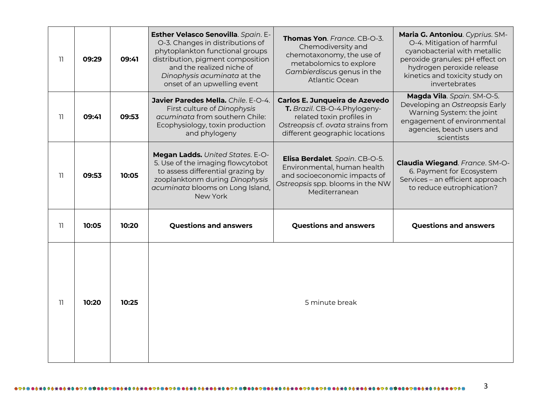| 11 | 09:29 | 09:41 | Esther Velasco Senovilla. Spain. E-<br>O-3. Changes in distributions of<br>phytoplankton functional groups<br>distribution, pigment composition<br>and the realized niche of<br>Dinophysis acuminata at the<br>onset of an upwelling event | Thomas Yon. France. CB-O-3.<br>Chemodiversity and<br>chemotaxonomy, the use of<br>metabolomics to explore<br>Gambierdiscus genus in the<br><b>Atlantic Ocean</b>    | Maria G. Antoniou. Cyprius. SM-<br>O-4. Mitigation of harmful<br>cyanobacterial with metallic<br>peroxide granules: pH effect on<br>hydrogen peroxide release<br>kinetics and toxicity study on<br>invertebrates |
|----|-------|-------|--------------------------------------------------------------------------------------------------------------------------------------------------------------------------------------------------------------------------------------------|---------------------------------------------------------------------------------------------------------------------------------------------------------------------|------------------------------------------------------------------------------------------------------------------------------------------------------------------------------------------------------------------|
| 11 | 09:41 | 09:53 | Javier Paredes Mella, Chile, E-O-4.<br>First culture of Dinophysis<br>acuminata from southern Chile:<br>Ecophysiology, toxin production<br>and phylogeny                                                                                   | Carlos E. Junqueira de Azevedo<br>T. Brazil. CB-O-4. Phylogeny-<br>related toxin profiles in<br>Ostreopsis cf. ovata strains from<br>different geographic locations | Magda Vila. Spain. SM-O-5.<br>Developing an Ostreopsis Early<br>Warning System: the joint<br>engagement of environmental<br>agencies, beach users and<br>scientists                                              |
| 11 | 09:53 | 10:05 | Megan Ladds. United States. E-O-<br>5. Use of the imaging flowcytobot<br>to assess differential grazing by<br>zooplanktonm during Dinophysis<br>acuminata blooms on Long Island,<br>New York                                               | Elisa Berdalet. Spain. CB-O-5.<br>Environmental, human health<br>and socioeconomic impacts of<br>Ostreopsis spp. blooms in the NW<br>Mediterranean                  | Claudia Wiegand. France. SM-O-<br>6. Payment for Ecosystem<br>Services - an efficient approach<br>to reduce eutrophication?                                                                                      |
| 11 | 10:05 | 10:20 | <b>Questions and answers</b>                                                                                                                                                                                                               | <b>Questions and answers</b>                                                                                                                                        | <b>Questions and answers</b>                                                                                                                                                                                     |
| 11 | 10:20 | 10:25 |                                                                                                                                                                                                                                            | 5 minute break                                                                                                                                                      |                                                                                                                                                                                                                  |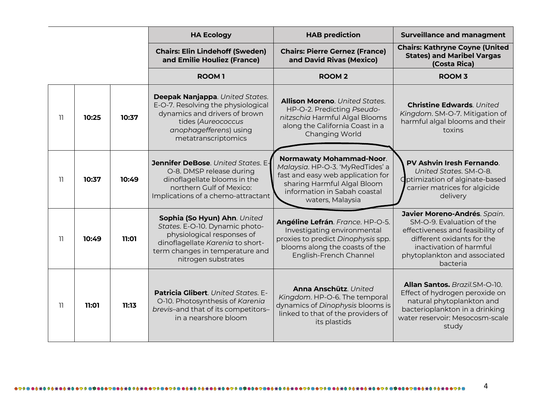|     |       |       | <b>HA Ecology</b>                                                                                                                                                                          | <b>HAB prediction</b>                                                                                                                                                                       | <b>Surveillance and managment</b>                                                                                                                                                                  |
|-----|-------|-------|--------------------------------------------------------------------------------------------------------------------------------------------------------------------------------------------|---------------------------------------------------------------------------------------------------------------------------------------------------------------------------------------------|----------------------------------------------------------------------------------------------------------------------------------------------------------------------------------------------------|
|     |       |       | <b>Chairs: Elin Lindehoff (Sweden)</b><br>and Emilie Houliez (France)                                                                                                                      | <b>Chairs: Pierre Gernez (France)</b><br>and David Rivas (Mexico)                                                                                                                           | <b>Chairs: Kathryne Coyne (United</b><br><b>States) and Maribel Vargas</b><br>(Costa Rica)                                                                                                         |
|     |       |       | <b>ROOM1</b>                                                                                                                                                                               | <b>ROOM2</b>                                                                                                                                                                                | <b>ROOM 3</b>                                                                                                                                                                                      |
| -11 | 10:25 | 10:37 | Deepak Nanjappa. United States.<br>E-O-7. Resolving the physiological<br>dynamics and drivers of brown<br>tides (Aureococcus<br>anophagefferens) using<br>metatranscriptomics              | <b>Allison Moreno.</b> United States.<br>HP-O-2. Predicting Pseudo-<br>nitzschia Harmful Algal Blooms<br>along the California Coast in a<br>Changing World                                  | <b>Christine Edwards. United</b><br>Kingdom. SM-O-7. Mitigation of<br>harmful algal blooms and their<br>toxins                                                                                     |
| -11 | 10:37 | 10:49 | Jennifer DeBose. United States. E-<br>O-8. DMSP release during<br>dinoflagellate blooms in the<br>northern Gulf of Mexico:<br>Implications of a chemo-attractant                           | <b>Normawaty Mohammad-Noor.</b><br>Malaysia. HP-O-3. 'MyRedTides' a<br>fast and easy web application for<br>sharing Harmful Algal Bloom<br>information in Sabah coastal<br>waters, Malaysia | <b>PV Ashvin Iresh Fernando.</b><br>United States, SM-O-8.<br>Optimization of alginate-based<br>carrier matrices for algicide<br>delivery                                                          |
| וו  | 10:49 | 11:01 | Sophia (So Hyun) Ahn. United<br>States. E-O-10. Dynamic photo-<br>physiological responses of<br>dinoflagellate Karenia to short-<br>term changes in temperature and<br>nitrogen substrates | Angéline Lefrán. France. HP-O-5.<br>Investigating environmental<br>proxies to predict Dinophysis spp.<br>blooms along the coasts of the<br>English-French Channel                           | Javier Moreno-Andrés. Spain.<br>SM-O-9. Evaluation of the<br>effectiveness and feasibility of<br>different oxidants for the<br>inactivation of harmful<br>phytoplankton and associated<br>bacteria |
| -11 | 11:01 | 11:13 | Patricia Glibert. United States. E-<br>O-10. Photosynthesis of Karenia<br>brevis-and that of its competitors-<br>in a nearshore bloom                                                      | Anna Anschütz. United<br>Kingdom. HP-O-6. The temporal<br>dynamics of Dinophysis blooms is<br>linked to that of the providers of<br>its plastids                                            | Allan Santos. Brazil.SM-O-10.<br>Effect of hydrogen peroxide on<br>natural phytoplankton and<br>bacterioplankton in a drinking<br>water reservoir: Mesocosm-scale<br>study                         |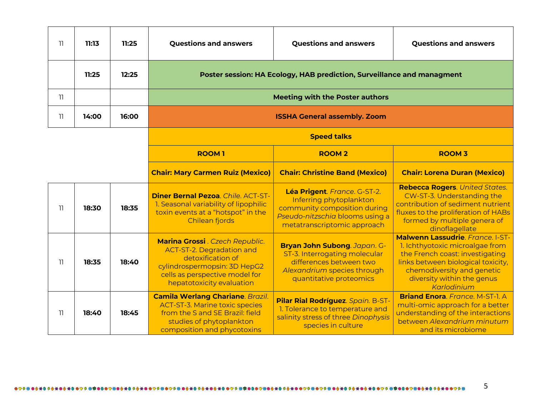| 11  | 11:13 | 11:25 | <b>Questions and answers</b>                                                                                                                                                     | <b>Questions and answers</b>                                                                                                                              | <b>Questions and answers</b>                                                                                                                                                                                            |  |  |
|-----|-------|-------|----------------------------------------------------------------------------------------------------------------------------------------------------------------------------------|-----------------------------------------------------------------------------------------------------------------------------------------------------------|-------------------------------------------------------------------------------------------------------------------------------------------------------------------------------------------------------------------------|--|--|
|     | 11:25 | 12:25 |                                                                                                                                                                                  | Poster session: HA Ecology, HAB prediction, Surveillance and managment                                                                                    |                                                                                                                                                                                                                         |  |  |
| 11  |       |       |                                                                                                                                                                                  | <b>Meeting with the Poster authors</b>                                                                                                                    |                                                                                                                                                                                                                         |  |  |
| 11  | 14:00 | 16:00 |                                                                                                                                                                                  | <b>ISSHA General assembly. Zoom</b>                                                                                                                       |                                                                                                                                                                                                                         |  |  |
|     |       |       |                                                                                                                                                                                  | <b>Speed talks</b>                                                                                                                                        |                                                                                                                                                                                                                         |  |  |
|     |       |       | <b>ROOM1</b>                                                                                                                                                                     | <b>ROOM2</b>                                                                                                                                              | <b>ROOM 3</b>                                                                                                                                                                                                           |  |  |
|     |       |       | <b>Chair: Mary Carmen Ruiz (Mexico)</b>                                                                                                                                          | <b>Chair: Christine Band (Mexico)</b>                                                                                                                     | <b>Chair: Lorena Duran (Mexico)</b>                                                                                                                                                                                     |  |  |
| -11 | 18:30 | 18:35 | <b>Diner Bernal Pezoa. Chile. ACT-ST-</b><br>1. Seasonal variability of lipophilic<br>toxin events at a "hotspot" in the<br>Chilean fjords                                       | Léa Prigent. France. G-ST-2.<br>Inferring phytoplankton<br>community composition during<br>Pseudo-nitzschia blooms using a<br>metatranscriptomic approach | <b>Rebecca Rogers. United States.</b><br>CW-ST-3. Understanding the<br>contribution of sediment nutrient<br>fluxes to the proliferation of HABs<br>formed by multiple genera of<br>dinoflagellate                       |  |  |
| 11  | 18:35 | 18:40 | Marina Grossi . Czech Republic.<br>ACT-ST-2. Degradation and<br>detoxification of<br>cylindrospermopsin: 3D HepG2<br>cells as perspective model for<br>hepatotoxicity evaluation | Bryan John Subong. Japan. G-<br>ST-3. Interrogating molecular<br>differences between two<br>Alexandrium species through<br>quantitative proteomics        | Malwenn Lassudrie, France, I-ST-<br>1. Ichthyotoxic microalgae from<br>the French coast: investigating<br>links between biological toxicity,<br>chemodiversity and genetic<br>diversity within the genus<br>Karlodinium |  |  |
| 11  | 18:40 | 18:45 | <b>Camila Werlang Chariane. Brazil.</b><br><b>ACT-ST-3. Marine toxic species</b><br>from the S and SE Brazil: field<br>studies of phytoplankton<br>composition and phycotoxins   | Pilar Rial Rodríguez. Spain. B-ST-<br>1. Tolerance to temperature and<br>salinity stress of three Dinophysis<br>species in culture                        | <b>Briand Enora</b> , France, M-ST-1, A<br>multi-omic approach for a better<br>understanding of the interactions<br>between Alexandrium minutum<br>and its microbiome                                                   |  |  |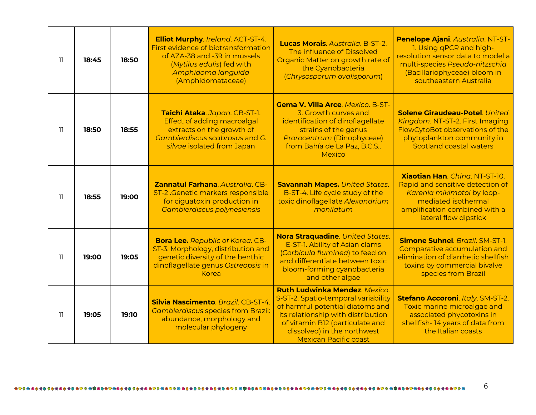| 11 | 18:45 | 18:50 | <b>Elliot Murphy.</b> Ireland. ACT-ST-4.<br>First evidence of biotransformation<br>of AZA-38 and -39 in mussels<br>(Mytilus edulis) fed with<br>Amphidoma languida<br>(Amphidomataceae) | Lucas Morais. Australia. B-ST-2.<br>The influence of Dissolved<br>Organic Matter on growth rate of<br>the Cyanobacteria<br>(Chrysosporum ovalisporum)                                                                                                    | Penelope Ajani. Australia. NT-ST-<br>1. Using gPCR and high-<br>resolution sensor data to model a<br>multi-species Pseudo-nitzschia<br>(Bacillariophyceae) bloom in<br>southeastern Australia |
|----|-------|-------|-----------------------------------------------------------------------------------------------------------------------------------------------------------------------------------------|----------------------------------------------------------------------------------------------------------------------------------------------------------------------------------------------------------------------------------------------------------|-----------------------------------------------------------------------------------------------------------------------------------------------------------------------------------------------|
| 11 | 18:50 | 18:55 | Taichi Ataka. Japan. CB-ST-1.<br>Effect of adding macroalgal<br>extracts on the growth of<br>Gambierdiscus scabrosus and G.<br>silvae isolated from Japan                               | <b>Gema V. Villa Arce</b> . Mexico. B-ST-<br>3. Growth curves and<br>identification of dinoflagellate<br>strains of the genus<br>Prorocentrum (Dinophyceae)<br>from Bahía de La Paz, B.C.S.,<br>Mexico                                                   | <b>Solene Giraudeau-Potel</b> . United<br>Kingdom. NT-ST-2. First Imaging<br>FlowCytoBot observations of the<br>phytoplankton community in<br><b>Scotland coastal waters</b>                  |
| 11 | 18:55 | 19:00 | <b>Zannatul Farhana</b> , Australia, CB-<br>ST-2 .Genetic markers responsible<br>for ciguatoxin production in<br><b>Gambierdiscus polynesiensis</b>                                     | <b>Savannah Mapes. United States.</b><br>B-ST-4. Life cycle study of the<br>toxic dinoflagellate Alexandrium<br>monilatum                                                                                                                                | <b>Xiaotian Han.</b> Ching. NT-ST-10.<br>Rapid and sensitive detection of<br>Karenia mikimotoi by loop-<br>mediated isothermal<br>amplification combined with a<br>lateral flow dipstick      |
| 11 | 19:00 | 19:05 | <b>Bora Lee.</b> Republic of Korea. CB-<br>ST-3. Morphology, distribution and<br>genetic diversity of the benthic<br>dinoflagellate genus Ostreopsis in<br>Korea                        | Nora Straquadine. United States.<br>E-ST-1. Ability of Asian clams<br>(Corbicula fluminea) to feed on<br>and differentiate between toxic<br>bloom-forming cyanobacteria<br>and other algae                                                               | <b>Simone Suhnel</b> . Brazil. SM-ST-1.<br>Comparative accumulation and<br>elimination of diarrhetic shellfish<br>toxins by commercial bivalve<br>species from Brazil                         |
| 11 | 19:05 | 19:10 | Silvia Nascimento, Brazil, CB-ST-4.<br><b>Cambierdiscus species from Brazil:</b><br>abundance, morphology and<br>molecular phylogeny                                                    | <b>Ruth Ludwinka Mendez</b> , Mexico.<br>S-ST-2. Spatio-temporal variability<br>of harmful potential diatoms and<br>its relationship with distribution<br>of vitamin B12 (particulate and<br>dissolved) in the northwest<br><b>Mexican Pacific coast</b> | Stefano Accoroni. Italy. SM-ST-2.<br>Toxic marine microalgae and<br>associated phycotoxins in<br>shellfish-14 years of data from<br>the Italian coasts                                        |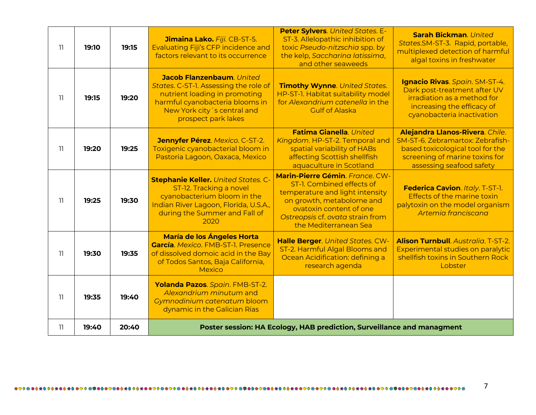| 11              | 19:10 | 19:15 | Jimaina Lako. Fiji. CB-ST-5.<br>Evaluating Fiji's CFP incidence and<br>factors relevant to its occurrence                                                                                    | <b>Peter Sylvers.</b> United States. E-<br>ST-3. Allelopathic inhibition of<br>toxic Pseudo-nitzschia spp. by<br>the kelp, Saccharina latissima,<br>and other seaweeds                                               | <b>Sarah Bickman</b> . United<br>States.SM-ST-3. Rapid, portable,<br>multiplexed detection of harmful<br>algal toxins in freshwater                                   |
|-----------------|-------|-------|----------------------------------------------------------------------------------------------------------------------------------------------------------------------------------------------|----------------------------------------------------------------------------------------------------------------------------------------------------------------------------------------------------------------------|-----------------------------------------------------------------------------------------------------------------------------------------------------------------------|
| -11             | 19:15 | 19:20 | Jacob Flanzenbaum. United<br>States. C-ST-1. Assessing the role of<br>nutrient loading in promoting<br>harmful cyanobacteria blooms in<br>New York city's central and<br>prospect park lakes | <b>Timothy Wynne.</b> United States.<br>HP-ST-1. Habitat suitability model<br>for Alexandrium catenella in the<br><b>Gulf of Alaska</b>                                                                              | Ignacio Rivas. Spain. SM-ST-4.<br>Dark post-treatment after UV<br>irradiation as a method for<br>increasing the efficacy of<br>cyanobacteria inactivation             |
| 11              | 19:20 | 19:25 | Jennyfer Pérez. Mexico. C-ST-2.<br>Toxigenic cyanobacterial bloom in<br>Pastoria Lagoon, Oaxaca, Mexico                                                                                      | Fatima Gianella. United<br>Kingdom. HP-ST-2. Temporal and<br>spatial variability of HABs<br>affecting Scottish shellfish<br>aquaculture in Scotland                                                                  | Alejandra Llanos-Rivera. Chile.<br>SM-ST-6. Zebramartox: Zebrafish-<br>based toxicological tool for the<br>screening of marine toxins for<br>assessing seafood safety |
| $\overline{11}$ | 19:25 | 19:30 | <b>Stephanie Keller.</b> United States. C-<br>ST-12. Tracking a novel<br>cyanobacterium bloom in the<br>Indian River Lagoon, Florida, U.S.A.,<br>during the Summer and Fall of<br>2020       | Marin-Pierre Gémin. France. CW-<br>ST-1. Combined effects of<br>temperature and light intensity<br>on growth, metabolome and<br>ovatoxin content of one<br>Ostreopsis cf. ovata strain from<br>the Mediterranean Sea | Federica Cavion. Italy. T-ST-1.<br>Effects of the marine toxin<br>palytoxin on the model organism<br>Artemia franciscana                                              |
| 11              | 19:30 | 19:35 | María de los Ángeles Horta<br>García. Mexico. FMB-ST-1. Presence<br>of dissolved domoic acid in the Bay<br>of Todos Santos, Baja California,<br>Mexico                                       | Halle Berger. United States. CW-<br>ST-2. Harmful Algal Blooms and<br>Ocean Acidification: defining a<br>research agenda                                                                                             | <b>Alison Turnbull</b> . Australia. T-ST-2.<br>Experimental studies on paralytic<br>shellfish toxins in Southern Rock<br>Lobster                                      |
| 11              | 19:35 | 19:40 | Yolanda Pazos. Spain. FMB-ST-2.<br>Alexandrium minutum and<br>Gymnodinium catenatum bloom<br>dynamic in the Galician Rias                                                                    |                                                                                                                                                                                                                      |                                                                                                                                                                       |
| 11              | 19:40 | 20:40 |                                                                                                                                                                                              | Poster session: HA Ecology, HAB prediction, Surveillance and managment                                                                                                                                               |                                                                                                                                                                       |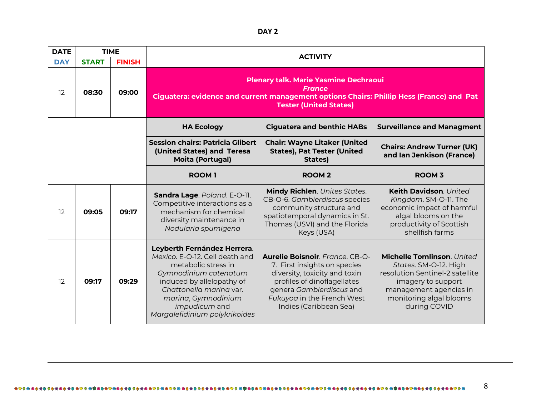**DAY 2**

| <b>DATE</b> | <b>TIME</b>                   |       |                                                                                                                                                                                                                                                       |                                                                                                                                                                                                                     |                                                                                                                                                                                   |  |  |
|-------------|-------------------------------|-------|-------------------------------------------------------------------------------------------------------------------------------------------------------------------------------------------------------------------------------------------------------|---------------------------------------------------------------------------------------------------------------------------------------------------------------------------------------------------------------------|-----------------------------------------------------------------------------------------------------------------------------------------------------------------------------------|--|--|
| <b>DAY</b>  | <b>FINISH</b><br><b>START</b> |       | <b>ACTIVITY</b>                                                                                                                                                                                                                                       |                                                                                                                                                                                                                     |                                                                                                                                                                                   |  |  |
| 12          | 08:30                         | 09:00 | <b>Plenary talk. Marie Yasmine Dechraoui</b><br>Ciguatera: evidence and current management options Chairs: Phillip Hess (France) and Pat                                                                                                              |                                                                                                                                                                                                                     |                                                                                                                                                                                   |  |  |
|             |                               |       | <b>HA Ecology</b>                                                                                                                                                                                                                                     | <b>Ciguatera and benthic HABs</b>                                                                                                                                                                                   | <b>Surveillance and Managment</b>                                                                                                                                                 |  |  |
|             |                               |       | <b>Session chairs: Patricia Glibert</b><br>(United States) and Teresa<br><b>Moita (Portugal)</b>                                                                                                                                                      | <b>Chair: Wayne Litaker (United</b><br><b>States), Pat Tester (United</b><br>States)                                                                                                                                | <b>Chairs: Andrew Turner (UK)</b><br>and Ian Jenkison (France)                                                                                                                    |  |  |
|             |                               |       | <b>ROOM1</b>                                                                                                                                                                                                                                          | <b>ROOM2</b>                                                                                                                                                                                                        | <b>ROOM 3</b>                                                                                                                                                                     |  |  |
| 12          | 09:05                         | 09:17 | Sandra Lage. Poland. E-O-11.<br>Competitive interactions as a<br>mechanism for chemical<br>diversity maintenance in<br>Nodularia spumigena                                                                                                            | Mindy Richlen. Unites States.<br>CB-O-6. Gambierdiscus species<br>community structure and<br>spatiotemporal dynamics in St.<br>Thomas (USVI) and the Florida<br>Keys (USA)                                          | Keith Davidson. United<br>Kingdom. SM-O-11. The<br>economic impact of harmful<br>algal blooms on the<br>productivity of Scottish<br>shellfish farms                               |  |  |
| 12          | 09:17                         | 09:29 | Leyberth Fernández Herrera.<br>Mexico. E-O-12. Cell death and<br>metabolic stress in<br>Gymnodinium catenatum<br>induced by allelopathy of<br>Chattonella marina var.<br>marina, Gymnodinium<br><i>impudicum</i> and<br>Margalefidinium polykrikoides | Aurelie Boisnoir. France. CB-O-<br>7. First insights on species<br>diversity, toxicity and toxin<br>profiles of dinoflagellates<br>genera Gambierdiscus and<br>Fukuyoa in the French West<br>Indies (Caribbean Sea) | Michelle Tomlinson. United<br>States. SM-O-12. High<br>resolution Sentinel-2 satellite<br>imagery to support<br>management agencies in<br>monitoring algal blooms<br>during COVID |  |  |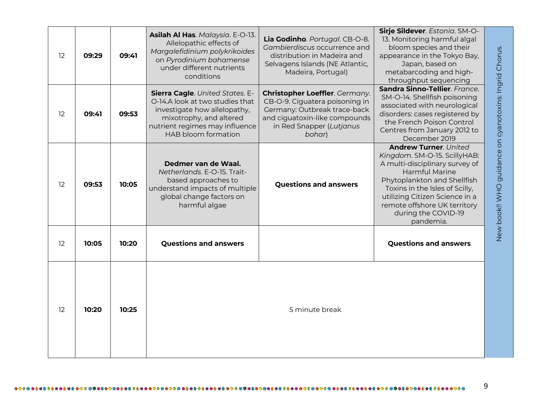| 12 | 09:29 | 09:41 | Asilah Al Has. Malaysia. E-O-13.<br>Allelopathic effects of<br>Margalefidinium polykrikoides<br>on Pyrodinium bahamense<br>under different nutrients<br>conditions                                   | Lia Godinho. Portugal. CB-O-8.<br>Gambierdiscus occurrence and<br>distribution in Madeira and<br>Selvagens Islands (NE Atlantic,<br>Madeira, Portugal)                  | Sirje Sildever. Estonia. SM-O-<br>13. Monitoring harmful algal<br>bloom species and their<br>appearance in the Tokyo Bay,<br>Japan, based on<br>metabarcoding and high-<br>throughput sequencing                                                                                               |
|----|-------|-------|------------------------------------------------------------------------------------------------------------------------------------------------------------------------------------------------------|-------------------------------------------------------------------------------------------------------------------------------------------------------------------------|------------------------------------------------------------------------------------------------------------------------------------------------------------------------------------------------------------------------------------------------------------------------------------------------|
| 12 | 09:41 | 09:53 | <b>Sierra Cagle.</b> United States. E-<br>O-14.A look at two studies that<br>investigate how allelopathy,<br>mixotrophy, and altered<br>nutrient regimes may influence<br><b>HAB bloom formation</b> | Christopher Loeffler. Germany.<br>CB-O-9. Ciguatera poisoning in<br>Germany: Outbreak trace-back<br>and ciguatoxin-like compounds<br>in Red Snapper (Lutjanus<br>bohar) | Sandra Sinno-Tellier, France.<br>SM-O-14. Shellfish poisoning<br>associated with neurological<br>disorders: cases registered by<br>the French Poison Control<br>Centres from January 2012 to<br>December 2019                                                                                  |
| 12 | 09:53 | 10:05 | Dedmer van de Waal.<br>Netherlands, E-O-15, Trait-<br>based approaches to<br>understand impacts of multiple<br>global change factors on<br>harmful algae                                             | <b>Questions and answers</b>                                                                                                                                            | <b>Andrew Turner. United</b><br>Kingdom. SM-O-15. ScillyHAB:<br>A multi-disciplinary survey of<br><b>Harmful Marine</b><br>Phytoplankton and Shellfish<br>Toxins in the Isles of Scilly,<br>utilizing Citizen Science in a<br>remote offshore UK territory<br>during the COVID-19<br>pandemia. |
| 12 | 10:05 | 10:20 | <b>Questions and answers</b>                                                                                                                                                                         |                                                                                                                                                                         | <b>Questions and answers</b>                                                                                                                                                                                                                                                                   |
| 12 | 10:20 | 10:25 |                                                                                                                                                                                                      | 5 minute break                                                                                                                                                          |                                                                                                                                                                                                                                                                                                |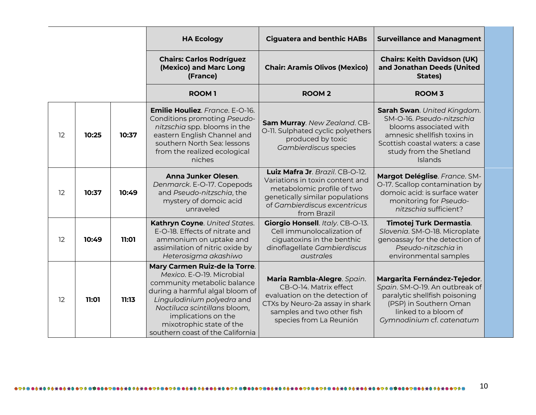|    |       |       | <b>HA Ecology</b>                                                                                                                                                                                                                                                                 | <b>Ciguatera and benthic HABs</b>                                                                                                                                                   | <b>Surveillance and Managment</b>                                                                                                                                                          |
|----|-------|-------|-----------------------------------------------------------------------------------------------------------------------------------------------------------------------------------------------------------------------------------------------------------------------------------|-------------------------------------------------------------------------------------------------------------------------------------------------------------------------------------|--------------------------------------------------------------------------------------------------------------------------------------------------------------------------------------------|
|    |       |       | <b>Chairs: Carlos Rodríguez</b><br>(Mexico) and Marc Long<br>(France)                                                                                                                                                                                                             | <b>Chair: Aramis Olivos (Mexico)</b>                                                                                                                                                | <b>Chairs: Keith Davidson (UK)</b><br>and Jonathan Deeds (United<br>States)                                                                                                                |
|    |       |       | <b>ROOM1</b>                                                                                                                                                                                                                                                                      | <b>ROOM2</b>                                                                                                                                                                        | <b>ROOM 3</b>                                                                                                                                                                              |
| 12 | 10:25 | 10:37 | Emilie Houliez. France. E-O-16.<br>Conditions promoting Pseudo-<br>nitzschia spp. blooms in the<br>eastern English Channel and<br>southern North Sea: lessons<br>from the realized ecological<br>niches                                                                           | Sam Murray. New Zealand. CB-<br>O-11. Sulphated cyclic polyethers<br>produced by toxic<br>Gambierdiscus species                                                                     | Sarah Swan. United Kingdom.<br>SM-O-16. Pseudo-nitzschia<br>blooms associated with<br>amnesic shellfish toxins in<br>Scottish coastal waters: a case<br>study from the Shetland<br>Islands |
| 12 | 10:37 | 10:49 | Anna Junker Olesen.<br>Denmarck. E-O-17. Copepods<br>and Pseudo-nitzschia, the<br>mystery of domoic acid<br>unraveled                                                                                                                                                             | Luiz Mafra Jr. Brazil. CB-O-12.<br>Variations in toxin content and<br>metabolomic profile of two<br>genetically similar populations<br>of Gambierdiscus excentricus<br>from Brazil  | Margot Deléglise. France. SM-<br>O-17. Scallop contamination by<br>domoic acid: is surface water<br>monitoring for Pseudo-<br>nitzschig sufficient?                                        |
| 12 | 10:49 | 11:01 | Kathryn Coyne. United States.<br>E-O-18. Effects of nitrate and<br>ammonium on uptake and<br>assimilation of nitric oxide by<br>Heterosigma akashiwo                                                                                                                              | Giorgio Honsell. Italy. CB-O-13.<br>Cell immunolocalization of<br>ciguatoxins in the benthic<br>dinoflagellate Gambierdiscus<br>australes                                           | Timotej Turk Dermastia.<br>Slovenia. SM-O-18. Microplate<br>genoassay for the detection of<br>Pseudo-nitzschia in<br>environmental samples                                                 |
| 12 | 11:01 | 11:13 | Mary Carmen Ruiz-de la Torre.<br>Mexico. E-O-19. Microbial<br>community metabolic balance<br>during a harmful algal bloom of<br>Lingulodinium polyedra and<br>Noctiluca scintillans bloom,<br>implications on the<br>mixotrophic state of the<br>southern coast of the California | Maria Rambla-Alegre. Spain.<br>CB-O-14. Matrix effect<br>evaluation on the detection of<br>CTXs by Neuro-2a assay in shark<br>samples and two other fish<br>species from La Reunión | Margarita Fernández-Tejedor.<br>Spain. SM-O-19. An outbreak of<br>paralytic shellfish poisoning<br>(PSP) in Southern Oman<br>linked to a bloom of<br>Gymnodinium cf. catenatum             |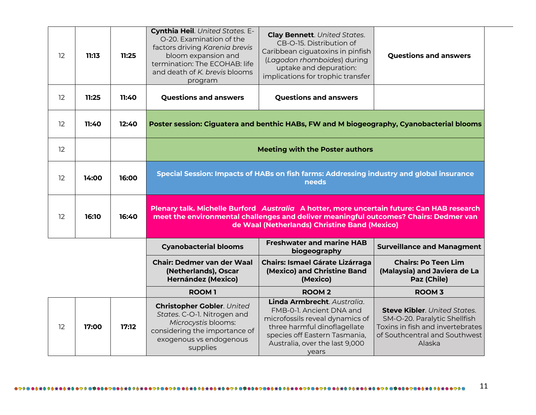| 12 | 11:13 | 11:25 | Cynthia Heil. United States. E-<br>O-20. Examination of the<br>factors driving Karenia brevis<br>bloom expansion and<br>termination: The ECOHAB: life<br>and death of K. brevis blooms<br>program | <b>Clay Bennett. United States.</b><br>CB-O-15. Distribution of<br>Caribbean ciguatoxins in pinfish<br>(Lagodon rhomboides) during<br>uptake and depuration:<br>implications for trophic transfer                                    | <b>Questions and answers</b>                                              |  |
|----|-------|-------|---------------------------------------------------------------------------------------------------------------------------------------------------------------------------------------------------|--------------------------------------------------------------------------------------------------------------------------------------------------------------------------------------------------------------------------------------|---------------------------------------------------------------------------|--|
| 12 | 11:25 | 11:40 | <b>Questions and answers</b>                                                                                                                                                                      | <b>Questions and answers</b>                                                                                                                                                                                                         |                                                                           |  |
| 12 | 11:40 | 12:40 | Poster session: Ciguatera and benthic HABs, FW and M biogeography, Cyanobacterial blooms                                                                                                          |                                                                                                                                                                                                                                      |                                                                           |  |
| 12 |       |       |                                                                                                                                                                                                   | <b>Meeting with the Poster authors</b>                                                                                                                                                                                               |                                                                           |  |
|    |       |       | Special Session: Impacts of HABs on fish farms: Addressing industry and global insurance<br>needs                                                                                                 |                                                                                                                                                                                                                                      |                                                                           |  |
| 12 | 14:00 | 16:00 |                                                                                                                                                                                                   |                                                                                                                                                                                                                                      |                                                                           |  |
| 12 | 16:10 | 16:40 |                                                                                                                                                                                                   | Plenary talk. Michelle Burford Australia A hotter, more uncertain future: Can HAB research<br>meet the environmental challenges and deliver meaningful outcomes? Chairs: Dedmer van<br>de Waal (Netherlands) Christine Band (Mexico) |                                                                           |  |
|    |       |       | <b>Cyanobacterial blooms</b>                                                                                                                                                                      | <b>Freshwater and marine HAB</b><br>biogeography                                                                                                                                                                                     | <b>Surveillance and Managment</b>                                         |  |
|    |       |       | <b>Chair: Dedmer van der Waal</b><br>(Netherlands), Oscar<br><b>Hernández (Mexico)</b>                                                                                                            | <b>Chairs: Ismael Gárate Lizárraga</b><br>(Mexico) and Christine Band<br>(Mexico)                                                                                                                                                    | <b>Chairs: Po Teen Lim</b><br>(Malaysia) and Javiera de La<br>Paz (Chile) |  |
|    |       |       | <b>ROOM1</b>                                                                                                                                                                                      | <b>ROOM2</b><br>Linda Armbrecht. Australia.                                                                                                                                                                                          | <b>ROOM 3</b>                                                             |  |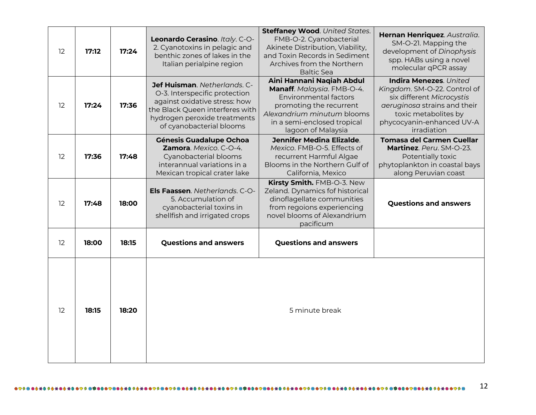| 12 | 17:12 | 17:24 | Leonardo Cerasino. Italy. C-O-<br>2. Cyanotoxins in pelagic and<br>benthic zones of lakes in the<br>Italian perialpine region                                                                 | <b>Steffaney Wood.</b> United States.<br>FMB-O-2. Cyanobacterial<br>Akinete Distribution, Viability,<br>and Toxin Records in Sediment<br>Archives from the Northern<br><b>Baltic Sea</b>              | Hernan Henriquez. Australia.<br>SM-O-21. Mapping the<br>development of Dinophysis<br>spp. HABs using a novel<br>molecular qPCR assay                                                    |
|----|-------|-------|-----------------------------------------------------------------------------------------------------------------------------------------------------------------------------------------------|-------------------------------------------------------------------------------------------------------------------------------------------------------------------------------------------------------|-----------------------------------------------------------------------------------------------------------------------------------------------------------------------------------------|
| 12 | 17:24 | 17:36 | Jef Huisman. Netherlands. C-<br>O-3. Interspecific protection<br>against oxidative stress: how<br>the Black Queen interferes with<br>hydrogen peroxide treatments<br>of cyanobacterial blooms | Aini Hannani Naqiah Abdul<br>Manaff. Malaysia. FMB-O-4.<br><b>Environmental factors</b><br>promoting the recurrent<br>Alexandrium minutum blooms<br>in a semi-enclosed tropical<br>lagoon of Malaysia | Indira Menezes. United<br>Kingdom. SM-O-22. Control of<br>six different Microcystis<br>aeruginosa strains and their<br>toxic metabolites by<br>phycocyanin-enhanced UV-A<br>irradiation |
| 12 | 17:36 | 17:48 | <b>Génesis Guadalupe Ochoa</b><br>Zamora. Mexico. C-O-4.<br>Cyanobacterial blooms<br>interannual variations in a<br>Mexican tropical crater lake                                              | <b>Jennifer Medina Elizalde.</b><br>Mexico. FMB-O-5. Effects of<br>recurrent Harmful Algae<br>Blooms in the Northern Gulf of<br>California, Mexico                                                    | <b>Tomasa del Carmen Cuellar</b><br>Martinez. Peru. SM-O-23.<br>Potentially toxic<br>phytoplankton in coastal bays<br>along Peruvian coast                                              |
| 12 | 17:48 | 18:00 | Els Faassen. Netherlands. C-O-<br>5. Accumulation of<br>cyanobacterial toxins in<br>shellfish and irrigated crops                                                                             | Kirsty Smith. FMB-O-3. New<br>Zeland. Dynamics fof historical<br>dinoflagellate communities<br>from regoions experiencing<br>novel blooms of Alexandrium<br>pacificum                                 | <b>Questions and answers</b>                                                                                                                                                            |
| 12 | 18:00 | 18:15 | <b>Questions and answers</b>                                                                                                                                                                  | <b>Questions and answers</b>                                                                                                                                                                          |                                                                                                                                                                                         |
| 12 | 18:15 | 18:20 |                                                                                                                                                                                               | 5 minute break                                                                                                                                                                                        |                                                                                                                                                                                         |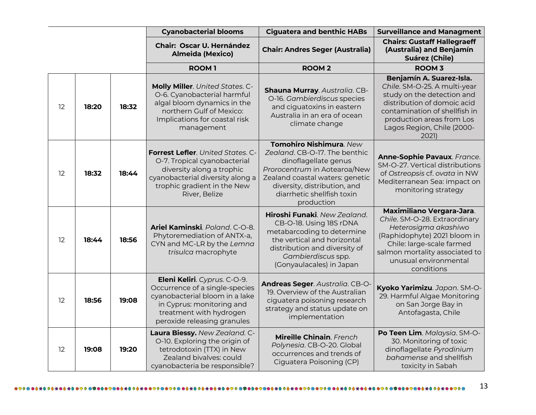|    |       |       | <b>Cyanobacterial blooms</b>                                                                                                                                                               | <b>Ciguatera and benthic HABs</b>                                                                                                                                                                                               | <b>Surveillance and Managment</b>                                                                                                                                                                                               |
|----|-------|-------|--------------------------------------------------------------------------------------------------------------------------------------------------------------------------------------------|---------------------------------------------------------------------------------------------------------------------------------------------------------------------------------------------------------------------------------|---------------------------------------------------------------------------------------------------------------------------------------------------------------------------------------------------------------------------------|
|    |       |       | <b>Chair: Oscar U. Hernández</b><br><b>Almeida (Mexico)</b>                                                                                                                                | <b>Chair: Andres Seger (Australia)</b>                                                                                                                                                                                          | <b>Chairs: Gustaff Hallegraeff</b><br>(Australia) and Benjamín<br><b>Suárez (Chile)</b>                                                                                                                                         |
|    |       |       | <b>ROOM1</b>                                                                                                                                                                               | <b>ROOM2</b>                                                                                                                                                                                                                    | <b>ROOM 3</b>                                                                                                                                                                                                                   |
| 12 | 18:20 | 18:32 | Molly Miller. United States. C-<br>O-6. Cyanobacterial harmful<br>algal bloom dynamics in the<br>northern Gulf of Mexico:<br>Implications for coastal risk<br>management                   | Shauna Murray. Australia. CB-<br>O-16. Gambierdiscus species<br>and ciguatoxins in eastern<br>Australia in an era of ocean<br>climate change                                                                                    | Benjamín A. Suarez-Isla.<br>Chile. SM-O-25. A multi-year<br>study on the detection and<br>distribution of domoic acid<br>contamination of shellfish in<br>production areas from Los<br>Lagos Region, Chile (2000-<br>2021)      |
| 12 | 18:32 | 18:44 | <b>Forrest Lefler</b> . United States. C-<br>O-7. Tropical cyanobacterial<br>diversity along a trophic<br>cyanobacterial diversity along a<br>trophic gradient in the New<br>River, Belize | Tomohiro Nishimura. New<br>Zealand, CB-O-17. The benthic<br>dinoflagellate genus<br>Prorocentrum in Aotearoa/New<br>Zealand coastal waters: genetic<br>diversity, distribution, and<br>diarrhetic shellfish toxin<br>production | Anne-Sophie Pavaux. France.<br>SM-O-27. Vertical distributions<br>of Ostreopsis cf. ovata in NW<br>Mediterranean Sea: impact on<br>monitoring strategy                                                                          |
| 12 | 18:44 | 18:56 | Ariel Kaminski. Poland. C-O-8.<br>Phytoremediation of ANTX-a,<br>CYN and MC-LR by the Lemna<br>trisulca macrophyte                                                                         | Hiroshi Funaki. New Zealand.<br>CB-O-18. Using 18S rDNA<br>metabarcoding to determine<br>the vertical and horizontal<br>distribution and diversity of<br>Gambierdiscus spp.<br>(Gonyaulacales) in Japan                         | <b>Maximiliano Vergara-Jara.</b><br>Chile. SM-O-28. Extraordinary<br>Heterosigma akashiwo<br>(Raphidophyte) 2021 bloom in<br>Chile: large-scale farmed<br>salmon mortality associated to<br>unusual environmental<br>conditions |
| 12 | 18:56 | 19:08 | Eleni Keliri. Cyprus. C-O-9.<br>Occurrence of a single-species<br>cyanobacterial bloom in a lake<br>in Cyprus: monitoring and<br>treatment with hydrogen<br>peroxide releasing granules    | Andreas Seger. Australia. CB-O-<br>19. Overview of the Australian<br>ciguatera poisoning research<br>strategy and status update on<br>implementation                                                                            | Kyoko Yarimizu. Japan. SM-O-<br>29. Harmful Algae Monitoring<br>on San Jorge Bay in<br>Antofagasta, Chile                                                                                                                       |
| 12 | 19:08 | 19:20 | Laura Biessy. New Zealand. C-<br>O-10. Exploring the origin of<br>tetrodotoxin (TTX) in New<br>Zealand bivalves: could<br>cyanobacteria be responsible?                                    | Mireille Chinain. French<br>Polynesia. CB-O-20. Global<br>occurrences and trends of<br>Ciguatera Poisoning (CP)                                                                                                                 | Po Teen Lim. Malaysia. SM-O-<br>30. Monitoring of toxic<br>dinoflagellate Pyrodinium<br>bahamense and shellfish<br>toxicity in Sabah                                                                                            |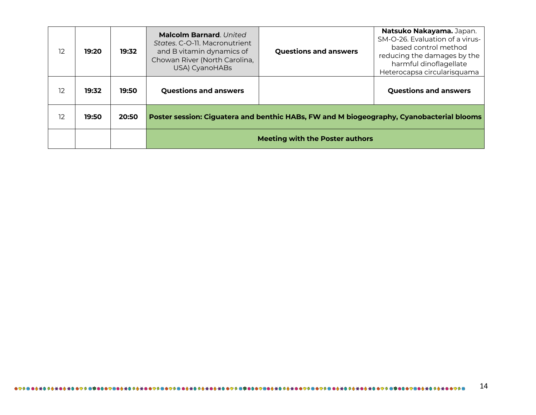| 12 | 19:20 | 19:32 | <b>Malcolm Barnard</b> United<br>States. C-O-11. Macronutrient<br>and B vitamin dynamics of<br>Chowan River (North Carolina,<br>USA) CyanoHABs | <b>Questions and answers</b>                                                             | Natsuko Nakayama. Japan.<br>SM-O-26. Evaluation of a virus-<br>based control method<br>reducing the damages by the<br>harmful dinoflagellate<br>Heterocapsa circularisquama |  |
|----|-------|-------|------------------------------------------------------------------------------------------------------------------------------------------------|------------------------------------------------------------------------------------------|-----------------------------------------------------------------------------------------------------------------------------------------------------------------------------|--|
| 12 | 19:32 | 19:50 | <b>Questions and answers</b>                                                                                                                   |                                                                                          | <b>Questions and answers</b>                                                                                                                                                |  |
| 12 | 19:50 | 20:50 |                                                                                                                                                | Poster session: Ciguatera and benthic HABs, FW and M biogeography, Cyanobacterial blooms |                                                                                                                                                                             |  |
|    |       |       | <b>Meeting with the Poster authors</b>                                                                                                         |                                                                                          |                                                                                                                                                                             |  |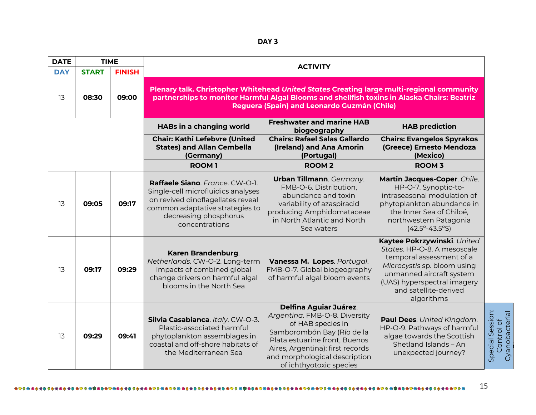| <b>DATE</b> | <b>TIME</b>  |               | <b>ACTIVITY</b>                                                                                                                                                                                                                         |                                                                                                                                                                                                                                                    |                                                                                                                                                                                                                         |                                                  |  |
|-------------|--------------|---------------|-----------------------------------------------------------------------------------------------------------------------------------------------------------------------------------------------------------------------------------------|----------------------------------------------------------------------------------------------------------------------------------------------------------------------------------------------------------------------------------------------------|-------------------------------------------------------------------------------------------------------------------------------------------------------------------------------------------------------------------------|--------------------------------------------------|--|
| <b>DAY</b>  | <b>START</b> | <b>FINISH</b> |                                                                                                                                                                                                                                         |                                                                                                                                                                                                                                                    |                                                                                                                                                                                                                         |                                                  |  |
| 13          | 08:30        | 09:00         | Plenary talk. Christopher Whitehead United States Creating large multi-regional community<br>partnerships to monitor Harmful Algal Blooms and shellfish toxins in Alaska Chairs: Beatriz<br>Reguera (Spain) and Leonardo Guzmán (Chile) |                                                                                                                                                                                                                                                    |                                                                                                                                                                                                                         |                                                  |  |
|             |              |               | HABs in a changing world                                                                                                                                                                                                                | <b>Freshwater and marine HAB</b><br>biogeography                                                                                                                                                                                                   | <b>HAB prediction</b>                                                                                                                                                                                                   |                                                  |  |
|             |              |               | <b>Chair: Kathi Lefebvre (United</b><br><b>States) and Allan Cembella</b><br>(Germany)                                                                                                                                                  | <b>Chairs: Rafael Salas Gallardo</b><br>(Ireland) and Ana Amorin<br>(Portugal)                                                                                                                                                                     | <b>Chairs: Evangelos Spyrakos</b><br>(Greece) Ernesto Mendoza<br>(Mexico)                                                                                                                                               |                                                  |  |
|             |              |               | <b>ROOM1</b>                                                                                                                                                                                                                            | <b>ROOM2</b>                                                                                                                                                                                                                                       | <b>ROOM 3</b>                                                                                                                                                                                                           |                                                  |  |
| 13          | 09:05        | 09:17         | <b>Raffaele Siano</b> . France. CW-O-1.<br>Single-cell microfluidics analyses<br>on revived dinoflagellates reveal<br>common adaptative strategies to<br>decreasing phosphorus<br>concentrations                                        | Urban Tillmann. Germany.<br>FMB-O-6. Distribution,<br>abundance and toxin<br>variability of azaspiracid<br>producing Amphidomataceae<br>in North Atlantic and North<br>Sea waters                                                                  | Martin Jacques-Coper. Chile.<br>HP-O-7. Synoptic-to-<br>intraseasonal modulation of<br>phytoplankton abundance in<br>the Inner Sea of Chiloé,<br>northwestern Patagonia<br>$(42.5^{\circ} - 43.5^{\circ}S)$             |                                                  |  |
| 13          | 09:17        | 09:29         | Karen Brandenburg.<br>Netherlands. CW-O-2. Long-term<br>impacts of combined global<br>change drivers on harmful algal<br>blooms in the North Sea                                                                                        | Vanessa M. Lopes. Portugal.<br>FMB-O-7. Global biogeography<br>of harmful algal bloom events                                                                                                                                                       | Kaytee Pokrzywinski. United<br>States. HP-O-8. A mesoscale<br>temporal assessment of a<br>Microcystis sp. bloom using<br>unmanned aircraft system<br>(UAS) hyperspectral imagery<br>and satellite-derived<br>algorithms |                                                  |  |
| 13          | 09:29        | 09:41         | Silvia Casabianca. Italy. CW-O-3.<br>Plastic-associated harmful<br>phytoplankton assemblages in<br>coastal and off-shore habitats of<br>the Mediterranean Sea                                                                           | <b>Delfina Aguiar Juárez.</b><br>Argentina. FMB-O-8. Diversity<br>of HAB species in<br>Samborombón Bay (Río de la<br>Plata estuarine front, Buenos<br>Aires, Argentina): first records<br>and morphological description<br>of ichthyotoxic species | Paul Dees. United Kingdom.<br>HP-O-9. Pathways of harmful<br>algae towards the Scottish<br>Shetland Islands - An<br>unexpected journey?                                                                                 | Special Session:<br>Cyanobacterial<br>Control of |  |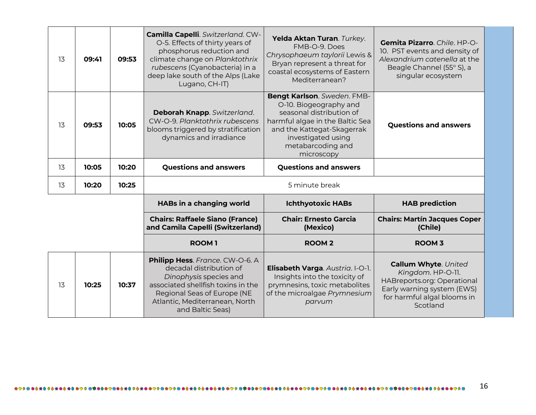| 13 | 09:41 | 09:53 | Camilla Capelli. Switzerland. CW-<br>O-5. Effects of thirty years of<br>phosphorus reduction and<br>climate change on Planktothrix<br>rubescens (Cyanobacteria) in a<br>deep lake south of the Alps (Lake<br>Lugano, CH-IT) | Yelda Aktan Turan. Turkey.<br>FMB-O-9, Does<br>Chrysophaeum taylorii Lewis &<br>Bryan represent a threat for<br>coastal ecosystems of Eastern<br>Mediterranean?                                             | Gemita Pizarro. Chile. HP-O-<br>10. PST events and density of<br>Alexandrium catenella at the<br>Beagle Channel (55° S), a<br>singular ecosystem |  |
|----|-------|-------|-----------------------------------------------------------------------------------------------------------------------------------------------------------------------------------------------------------------------------|-------------------------------------------------------------------------------------------------------------------------------------------------------------------------------------------------------------|--------------------------------------------------------------------------------------------------------------------------------------------------|--|
| 13 | 09:53 | 10:05 | Deborah Knapp. Switzerland.<br>CW-O-9. Planktothrix rubescens<br>blooms triggered by stratification<br>dynamics and irradiance                                                                                              | Bengt Karlson. Sweden. FMB-<br>O-10. Biogeography and<br>seasonal distribution of<br>harmful algae in the Baltic Sea<br>and the Kattegat-Skagerrak<br>investigated using<br>metabarcoding and<br>microscopy | <b>Questions and answers</b>                                                                                                                     |  |
| 13 | 10:05 | 10:20 | <b>Questions and answers</b>                                                                                                                                                                                                | <b>Questions and answers</b>                                                                                                                                                                                |                                                                                                                                                  |  |
|    |       |       | 5 minute break                                                                                                                                                                                                              |                                                                                                                                                                                                             |                                                                                                                                                  |  |
| 13 | 10:20 | 10:25 |                                                                                                                                                                                                                             |                                                                                                                                                                                                             |                                                                                                                                                  |  |
|    |       |       | <b>HABs in a changing world</b>                                                                                                                                                                                             | <b>Ichthyotoxic HABs</b>                                                                                                                                                                                    | <b>HAB prediction</b>                                                                                                                            |  |
|    |       |       | <b>Chairs: Raffaele Siano (France)</b><br>and Camila Capelli (Switzerland)                                                                                                                                                  | <b>Chair: Ernesto Garcia</b><br>(Mexico)                                                                                                                                                                    | <b>Chairs: Martín Jacques Coper</b><br>(Chile)                                                                                                   |  |
|    |       |       | <b>ROOM1</b>                                                                                                                                                                                                                | <b>ROOM2</b>                                                                                                                                                                                                | <b>ROOM 3</b>                                                                                                                                    |  |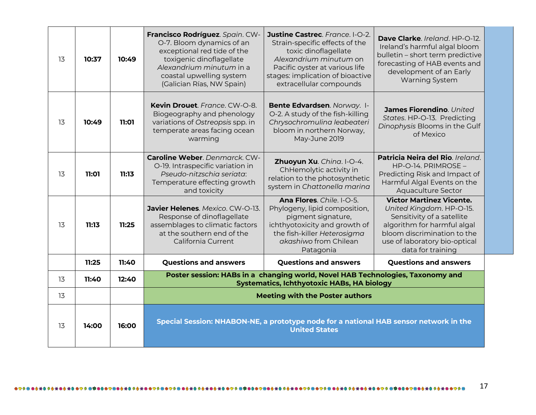| 13 | 10:37 | 10:49 | Francisco Rodríguez. Spain. CW-<br>O-7. Bloom dynamics of an<br>exceptional red tide of the<br>toxigenic dinoflagellate<br>Alexandrium minutum in a<br>coastal upwelling system<br>(Galician Rías, NW Spain) | Justine Castrec. France. I-O-2.<br>Strain-specific effects of the<br>toxic dinoflagellate<br>Alexandrium minutum on<br>Pacific oyster at various life<br>stages: implication of bioactive<br>extracellular compounds | Dave Clarke. Ireland. HP-O-12.<br>Ireland's harmful algal bloom<br>bulletin - short term predictive<br>forecasting of HAB events and<br>development of an Early<br><b>Warning System</b>                      |
|----|-------|-------|--------------------------------------------------------------------------------------------------------------------------------------------------------------------------------------------------------------|----------------------------------------------------------------------------------------------------------------------------------------------------------------------------------------------------------------------|---------------------------------------------------------------------------------------------------------------------------------------------------------------------------------------------------------------|
| 13 | 10:49 | 11:01 | Kevin Drouet. France. CW-O-8.<br>Biogeography and phenology<br>variations of Ostreopsis spp. in<br>temperate areas facing ocean<br>warming                                                                   | Bente Edvardsen. Norway. I-<br>O-2. A study of the fish-killing<br>Chrysochromulina leabeateri<br>bloom in northern Norway,<br>May-June 2019                                                                         | James Fiorendino. United<br>States. HP-O-13. Predicting<br>Dinophysis Blooms in the Gulf<br>of Mexico                                                                                                         |
| 13 | 11:01 | 11:13 | Caroline Weber, Denmarck, CW-<br>O-19. Intraspecific variation in<br>Pseudo-nitzschia seriata:<br>Temperature effecting growth<br>and toxicity                                                               | Zhuoyun Xu. China. I-O-4.<br>ChHemolytic activity in<br>relation to the photosynthetic<br>system in Chattonella marina                                                                                               | Patricia Neira del Rio. Ireland.<br>$HP-O-14. PRIMROSE -$<br>Predicting Risk and Impact of<br>Harmful Algal Events on the<br>Aquaculture Sector                                                               |
| 13 | 11:13 | 11:25 | Javier Helenes. Mexico. CW-O-13.<br>Response of dinoflagellate<br>assemblages to climatic factors<br>at the southern end of the<br>California Current                                                        | Ana Flores. Chile. I-O-5.<br>Phylogeny, lipid composition,<br>pigment signature,<br>ichthyotoxicity and growth of<br>the fish-killer Heterosigma<br>akashiwo from Chilean<br>Patagonia                               | <b>Victor Martinez Vicente.</b><br>United Kingdom. HP-O-15.<br>Sensitivity of a satellite<br>algorithm for harmful algal<br>bloom discrimination to the<br>use of laboratory bio-optical<br>data for training |
|    | 11:25 | 11:40 | <b>Questions and answers</b>                                                                                                                                                                                 | <b>Questions and answers</b>                                                                                                                                                                                         | <b>Questions and answers</b>                                                                                                                                                                                  |
| 13 | 11:40 | 12:40 |                                                                                                                                                                                                              | Poster session: HABs in a changing world, Novel HAB Technologies, Taxonomy and<br><b>Systematics, Ichthyotoxic HABs, HA biology</b>                                                                                  |                                                                                                                                                                                                               |
| 13 |       |       |                                                                                                                                                                                                              | <b>Meeting with the Poster authors</b>                                                                                                                                                                               |                                                                                                                                                                                                               |
| 13 | 14:00 | 16:00 | Special Session: NHABON-NE, a prototype node for a national HAB sensor network in the<br><b>United States</b>                                                                                                |                                                                                                                                                                                                                      |                                                                                                                                                                                                               |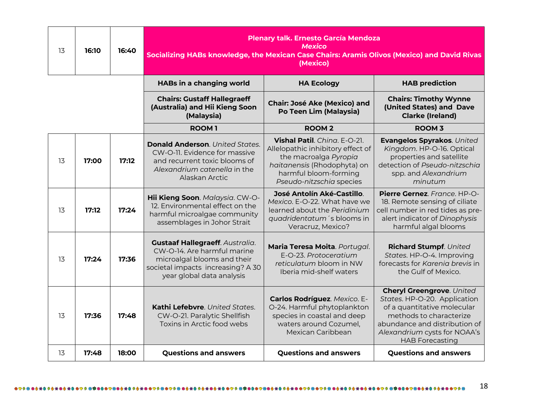| 13 | 16:10 | 16:40 | Plenary talk. Ernesto García Mendoza<br><b>Mexico</b><br>Socializing HABs knowledge, the Mexican Case Chairs: Aramis Olivos (Mexico) and David Rivas<br>(Mexico)       |                                                                                                                                                                                |                                                                                                                                                                                                                       |
|----|-------|-------|------------------------------------------------------------------------------------------------------------------------------------------------------------------------|--------------------------------------------------------------------------------------------------------------------------------------------------------------------------------|-----------------------------------------------------------------------------------------------------------------------------------------------------------------------------------------------------------------------|
|    |       |       | <b>HABs in a changing world</b>                                                                                                                                        | <b>HA Ecology</b>                                                                                                                                                              | <b>HAB prediction</b>                                                                                                                                                                                                 |
|    |       |       | <b>Chairs: Gustaff Hallegraeff</b><br>(Australia) and Hii Kieng Soon<br>(Malaysia)                                                                                     | <b>Chair: José Ake (Mexico) and</b><br>Po Teen Lim (Malaysia)                                                                                                                  | <b>Chairs: Timothy Wynne</b><br>(United States) and Dave<br><b>Clarke (Ireland)</b>                                                                                                                                   |
|    |       |       | <b>ROOM1</b>                                                                                                                                                           | <b>ROOM2</b>                                                                                                                                                                   | <b>ROOM 3</b>                                                                                                                                                                                                         |
| 13 | 17:00 | 17:12 | <b>Donald Anderson.</b> United States.<br>CW-O-11. Evidence for massive<br>and recurrent toxic blooms of<br>Alexandrium catenella in the<br>Alaskan Arctic             | Vishal Patil. Ching. E-O-21.<br>Allelopathic inhibitory effect of<br>the macroalga Pyropia<br>haitanensis (Rhodophyta) on<br>harmful bloom-forming<br>Pseudo-nitzschia species | Evangelos Spyrakos. United<br>Kingdom. HP-O-16. Optical<br>properties and satellite<br>detection of Pseudo-nitzschia<br>spp. and Alexandrium<br>minutum                                                               |
| 13 | 17:12 | 17:24 | Hii Kieng Soon. Malaysia. CW-O-<br>12. Environmental effect on the<br>harmful microalgae community<br>assemblages in Johor Strait                                      | José Antolín Aké-Castillo.<br>Mexico. E-O-22. What have we<br>learned about the Peridinium<br>quadridentatum's blooms in<br>Veracruz, Mexico?                                  | Pierre Gernez. France. HP-O-<br>18. Remote sensing of ciliate<br>cell number in red tides as pre-<br>alert indicator of Dinophysis<br>harmful algal blooms                                                            |
| 13 | 17:24 | 17:36 | <b>Gustaaf Hallegraeff. Australia.</b><br>CW-O-14. Are harmful marine<br>microalgal blooms and their<br>societal impacts increasing? A 30<br>year global data analysis | Maria Teresa Moita. Portugal.<br>E-O-23. Protoceratium<br>reticulatum bloom in NW<br>Iberia mid-shelf waters                                                                   | Richard Stumpf. United<br>States. HP-O-4. Improving<br>forecasts for Karenia brevis in<br>the Gulf of Mexico.                                                                                                         |
| 13 | 17:36 | 17:48 | Kathi Lefebvre. United States.<br>CW-O-21. Paralytic Shellfish<br>Toxins in Arctic food webs                                                                           | Carlos Rodríguez. Mexico. E-<br>O-24. Harmful phytoplankton<br>species in coastal and deep<br>waters around Cozumel,<br>Mexican Caribbean                                      | <b>Cheryl Greengrove. United</b><br>States. HP-O-20. Application<br>of a quantitative molecular<br>methods to characterize<br>abundance and distribution of<br>Alexandrium cysts for NOAA's<br><b>HAB Forecasting</b> |
| 13 | 17:48 | 18:00 | <b>Questions and answers</b>                                                                                                                                           | <b>Questions and answers</b>                                                                                                                                                   | <b>Questions and answers</b>                                                                                                                                                                                          |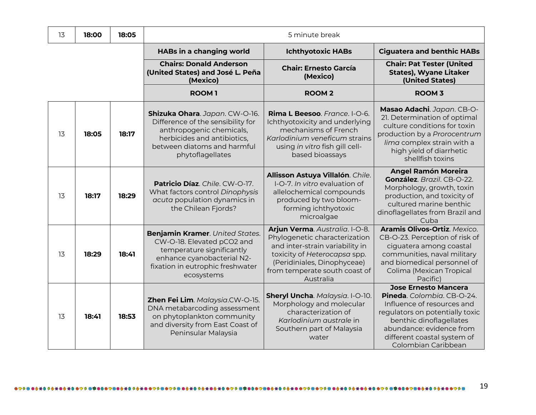| 13 | 18:00 | 18:05 | 5 minute break                                                                                                                                                                    |                                                                                                                                                                                                                 |                                                                                                                                                                                                                                         |  |
|----|-------|-------|-----------------------------------------------------------------------------------------------------------------------------------------------------------------------------------|-----------------------------------------------------------------------------------------------------------------------------------------------------------------------------------------------------------------|-----------------------------------------------------------------------------------------------------------------------------------------------------------------------------------------------------------------------------------------|--|
|    |       |       | HABs in a changing world                                                                                                                                                          | <b>Ichthyotoxic HABs</b>                                                                                                                                                                                        | <b>Ciguatera and benthic HABs</b>                                                                                                                                                                                                       |  |
|    |       |       | <b>Chairs: Donald Anderson</b><br>(United States) and José L. Peña<br>(Mexico)                                                                                                    | <b>Chair: Ernesto García</b><br>(Mexico)                                                                                                                                                                        | <b>Chair: Pat Tester (United</b><br><b>States), Wyane Litaker</b><br>(United States)                                                                                                                                                    |  |
|    |       |       | <b>ROOM1</b>                                                                                                                                                                      | <b>ROOM2</b>                                                                                                                                                                                                    | <b>ROOM 3</b>                                                                                                                                                                                                                           |  |
| 13 | 18:05 | 18:17 | Shizuka Ohara. Japan. CW-O-16.<br>Difference of the sensibility for<br>anthropogenic chemicals,<br>herbicides and antibiotics,<br>between diatoms and harmful<br>phytoflagellates | Rima L Beesoo. France. I-O-6.<br>Ichthyotoxicity and underlying<br>mechanisms of French<br>Karlodinium veneficum strains<br>using in vitro fish gill cell-<br>based bioassays                                   | Masao Adachi. Japan. CB-O-<br>21. Determination of optimal<br>culture conditions for toxin<br>production by a Prorocentrum<br>lima complex strain with a<br>high yield of diarrhetic<br>shellfish toxins                                |  |
| 13 | 18:17 | 18:29 | Patricio Díaz. Chile. CW-O-17.<br>What factors control Dinophysis<br>acuta population dynamics in<br>the Chilean Fjords?                                                          | Allisson Astuya Villalón. Chile.<br>I-O-7. In vitro evaluation of<br>allelochemical compounds<br>produced by two bloom-<br>forming ichthyotoxic<br>microalgae                                                   | <b>Angel Ramón Moreira</b><br>González. Brazil. CB-O-22.<br>Morphology, growth, toxin<br>production, and toxicity of<br>cultured marine benthic<br>dinoflagellates from Brazil and<br>Cuba                                              |  |
| 13 | 18:29 | 18:41 | Benjamin Kramer. United States.<br>CW-O-18. Elevated pCO2 and<br>temperature significantly<br>enhance cyanobacterial N2-<br>fixation in eutrophic freshwater<br>ecosystems        | Arjun Verma. Australia. I-O-8.<br>Phylogenetic characterization<br>and inter-strain variability in<br>toxicity of Heterocapsa spp.<br>(Peridiniales, Dinophyceae)<br>from temperate south coast of<br>Australia | Aramis Olivos-Ortiz. Mexico.<br>CB-O-23. Perception of risk of<br>ciguatera among coastal<br>communities, naval military<br>and biomedical personnel of<br>Colima (Mexican Tropical<br>Pacific)                                         |  |
| 13 | 18:41 | 18:53 | Zhen Fei Lim. Malaysia.CW-O-15.<br>DNA metabarcoding assessment<br>on phytoplankton community<br>and diversity from East Coast of<br>Peninsular Malaysia                          | Sheryl Uncha. Malaysia. I-O-10.<br>Morphology and molecular<br>characterization of<br>Karlodinium australe in<br>Southern part of Malaysia<br>water                                                             | <b>Jose Ernesto Mancera</b><br>Pineda. Colombia. CB-O-24.<br>Influence of resources and<br>regulators on potentially toxic<br>benthic dinoflagellates<br>abundance: evidence from<br>different coastal system of<br>Colombian Caribbean |  |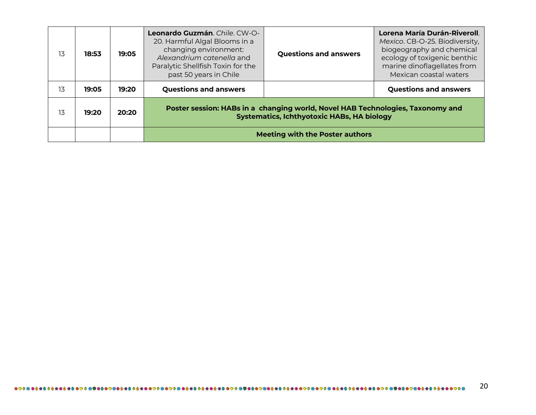| 13 | 18:53 | 19:05 | Leonardo Guzmán. Chile. CW-O-<br>20. Harmful Algal Blooms in a<br>changing environment:<br>Alexandrium catenella and<br>Paralytic Shellfish Toxin for the<br>past 50 years in Chile | <b>Questions and answers</b> | Lorena María Durán-Riveroll.<br>Mexico. CB-O-25. Biodiversity,<br>biogeography and chemical<br>ecology of toxigenic benthic<br>marine dinoflagellates from<br>Mexican coastal waters |
|----|-------|-------|-------------------------------------------------------------------------------------------------------------------------------------------------------------------------------------|------------------------------|--------------------------------------------------------------------------------------------------------------------------------------------------------------------------------------|
| 13 | 19:05 | 19:20 | <b>Questions and answers</b>                                                                                                                                                        |                              | <b>Questions and answers</b>                                                                                                                                                         |
| 13 | 19:20 | 20:20 | Poster session: HABs in a changing world, Novel HAB Technologies, Taxonomy and<br><b>Systematics, Ichthyotoxic HABs, HA biology</b>                                                 |                              |                                                                                                                                                                                      |
|    |       |       | <b>Meeting with the Poster authors</b>                                                                                                                                              |                              |                                                                                                                                                                                      |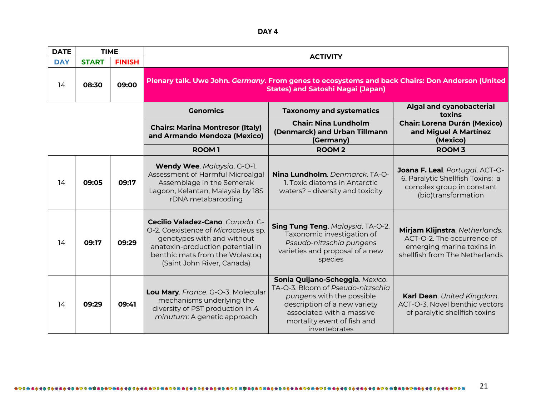**DAY 4**

| <b>DATE</b> | <b>TIME</b>  |               | <b>ACTIVITY</b>                                                                                                                                                                                           |                                                                                                                                                                                                                |                                                                                                                             |  |
|-------------|--------------|---------------|-----------------------------------------------------------------------------------------------------------------------------------------------------------------------------------------------------------|----------------------------------------------------------------------------------------------------------------------------------------------------------------------------------------------------------------|-----------------------------------------------------------------------------------------------------------------------------|--|
| <b>DAY</b>  | <b>START</b> | <b>FINISH</b> |                                                                                                                                                                                                           |                                                                                                                                                                                                                |                                                                                                                             |  |
| 14          | 08:30        | 09:00         | Plenary talk. Uwe John. Germany. From genes to ecosystems and back Chairs: Don Anderson (United<br><b>States) and Satoshi Nagai (Japan)</b>                                                               |                                                                                                                                                                                                                |                                                                                                                             |  |
|             |              |               | <b>Genomics</b>                                                                                                                                                                                           | <b>Taxonomy and systematics</b>                                                                                                                                                                                | Algal and cyanobacterial<br>toxins                                                                                          |  |
|             |              |               | <b>Chairs: Marina Montresor (Italy)</b><br>and Armando Mendoza (Mexico)                                                                                                                                   | <b>Chair: Nina Lundholm</b><br>(Denmarck) and Urban Tillmann<br>(Germany)                                                                                                                                      | <b>Chair: Lorena Durán (Mexico)</b><br>and Miguel A Martínez<br>(Mexico)                                                    |  |
|             |              |               | <b>ROOM1</b>                                                                                                                                                                                              | <b>ROOM2</b>                                                                                                                                                                                                   | <b>ROOM 3</b>                                                                                                               |  |
| 14          | 09:05        | 09:17         | Wendy Wee. Malaysia. G-O-1.<br>Assessment of Harmful Microalgal<br>Assemblage in the Semerak<br>Lagoon, Kelantan, Malaysia by 18S<br>rDNA metabarcoding                                                   | Nina Lundholm. Denmarck. TA-O-<br>1. Toxic diatoms in Antarctic<br>waters? - diversity and toxicity                                                                                                            | Joana F. Leal. Portugal. ACT-O-<br>6. Paralytic Shellfish Toxins: a<br>complex group in constant<br>(bio)transformation     |  |
| 14          | 09:17        | 09:29         | Cecilio Valadez-Cano. Canada. G-<br>O-2. Coexistence of Microcoleus sp.<br>genotypes with and without<br>anatoxin-production potential in<br>benthic mats from the Wolastoq<br>(Saint John River, Canada) | Sing Tung Teng. Malaysia. TA-O-2.<br>Taxonomic investigation of<br>Pseudo-nitzschia pungens<br>varieties and proposal of a new<br>species                                                                      | Mirjam Klijnstra. Netherlands.<br>ACT-O-2. The occurrence of<br>emerging marine toxins in<br>shellfish from The Netherlands |  |
| 14          | 09:29        | 09:41         | Lou Mary. France. G-O-3. Molecular<br>mechanisms underlying the<br>diversity of PST production in A.<br>minutum: A genetic approach                                                                       | Sonia Quijano-Scheggia. Mexico.<br>TA-O-3. Bloom of Pseudo-nitzschia<br>pungens with the possible<br>description of a new variety<br>associated with a massive<br>mortality event of fish and<br>invertebrates | Karl Dean. United Kingdom.<br>ACT-O-3. Novel benthic vectors<br>of paralytic shellfish toxins                               |  |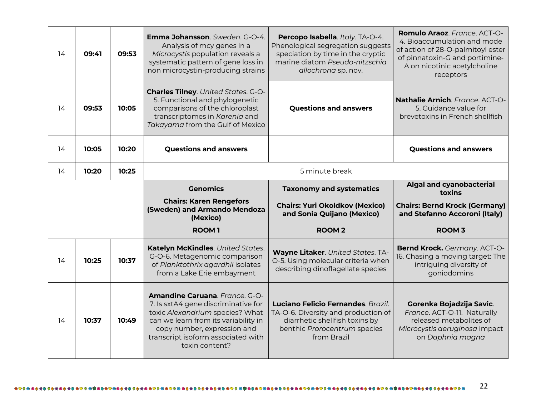| 14 | 09:41 | 09:53 | <b>Emma Johansson</b> . Sweden. G-O-4.<br>Analysis of mcy genes in a<br>Microcystis population reveals a<br>systematic pattern of gene loss in<br>non microcystin-producing strains | Percopo Isabella. Italy. TA-O-4.<br>Phenological segregation suggests<br>speciation by time in the cryptic<br>marine diatom Pseudo-nitzschig<br>allochrona sp. nov. | Romulo Araoz. France. ACT-O-<br>4. Bioaccumulation and mode<br>of action of 28-O-palmitoyl ester<br>of pinnatoxin-G and portimine-<br>A on nicotinic acetylcholine<br>receptors |
|----|-------|-------|-------------------------------------------------------------------------------------------------------------------------------------------------------------------------------------|---------------------------------------------------------------------------------------------------------------------------------------------------------------------|---------------------------------------------------------------------------------------------------------------------------------------------------------------------------------|
| 14 | 09:53 | 10:05 | <b>Charles Tilney.</b> United States. G-O-<br>5. Functional and phylogenetic<br>comparisons of the chloroplast<br>transcriptomes in Karenia and<br>Takayama from the Gulf of Mexico | <b>Questions and answers</b>                                                                                                                                        | Nathalie Arnich. France. ACT-O-<br>5. Guidance value for<br>brevetoxins in French shellfish                                                                                     |
| 14 | 10:05 | 10:20 | <b>Questions and answers</b>                                                                                                                                                        |                                                                                                                                                                     | <b>Questions and answers</b>                                                                                                                                                    |
| 14 | 10:20 | 10:25 | 5 minute break                                                                                                                                                                      |                                                                                                                                                                     |                                                                                                                                                                                 |
|    |       |       | <b>Genomics</b>                                                                                                                                                                     | <b>Taxonomy and systematics</b>                                                                                                                                     | Algal and cyanobacterial<br>toxins                                                                                                                                              |
|    |       |       |                                                                                                                                                                                     |                                                                                                                                                                     |                                                                                                                                                                                 |
|    |       |       | <b>Chairs: Karen Rengefors</b><br>(Sweden) and Armando Mendoza<br>(Mexico)                                                                                                          | <b>Chairs: Yuri Okoldkov (Mexico)</b><br>and Sonia Quijano (Mexico)                                                                                                 | <b>Chairs: Bernd Krock (Germany)</b><br>and Stefanno Accoroni (Italy)                                                                                                           |
|    |       |       | <b>ROOM1</b>                                                                                                                                                                        | <b>ROOM2</b>                                                                                                                                                        | <b>ROOM 3</b>                                                                                                                                                                   |
| 14 | 10:25 | 10:37 | Katelyn McKindles. United States.<br>G-O-6. Metagenomic comparison<br>of Planktothrix agardhii isolates<br>from a Lake Erie embayment                                               | Wayne Litaker. United States. TA-<br>O-5. Using molecular criteria when<br>describing dinoflagellate species                                                        | Bernd Krock. Germany. ACT-O-<br>16. Chasing a moving target: The<br>intriguing diversity of<br>goniodomins                                                                      |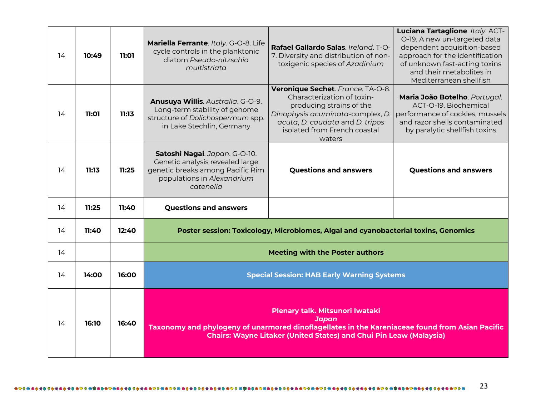| 14 | 10:49 | 11:01 | Mariella Ferrante. Italy. G-O-8. Life<br>cycle controls in the planktonic<br>diatom Pseudo-nitzschig<br>multistriata                                                                                                            | Rafael Gallardo Salas, Ireland, T-O-<br>7. Diversity and distribution of non-<br>toxigenic species of Azadinium                                                                                              | Luciana Tartaglione. Italy. ACT-<br>O-19. A new un-targeted data<br>dependent acquisition-based<br>approach for the identification<br>of unknown fast-acting toxins<br>and their metabolites in<br>Mediterranean shellfish |
|----|-------|-------|---------------------------------------------------------------------------------------------------------------------------------------------------------------------------------------------------------------------------------|--------------------------------------------------------------------------------------------------------------------------------------------------------------------------------------------------------------|----------------------------------------------------------------------------------------------------------------------------------------------------------------------------------------------------------------------------|
| 14 | 11:01 | 11:13 | Anusuya Willis. Australia. G-O-9.<br>Long-term stability of genome<br>structure of Dolichospermum spp.<br>in Lake Stechlin, Germany                                                                                             | Veronique Sechet. France. TA-O-8.<br>Characterization of toxin-<br>producing strains of the<br>Dinophysis acuminata-complex, D.<br>acuta, D. caudata and D. tripos<br>isolated from French coastal<br>waters | Maria João Botelho. Portugal.<br>ACT-O-19. Biochemical<br>performance of cockles, mussels<br>and razor shells contaminated<br>by paralytic shellfish toxins                                                                |
| 14 | 11:13 | 11:25 | Satoshi Nagai. Japan. G-O-10.<br>Genetic analysis revealed large<br>genetic breaks among Pacific Rim<br>populations in Alexandrium<br>catenella                                                                                 | <b>Questions and answers</b>                                                                                                                                                                                 | <b>Questions and answers</b>                                                                                                                                                                                               |
| 14 | 11:25 | 11:40 | <b>Questions and answers</b>                                                                                                                                                                                                    |                                                                                                                                                                                                              |                                                                                                                                                                                                                            |
| 14 | 11:40 | 12:40 |                                                                                                                                                                                                                                 | Poster session: Toxicology, Microbiomes, Algal and cyanobacterial toxins, Genomics                                                                                                                           |                                                                                                                                                                                                                            |
| 14 |       |       |                                                                                                                                                                                                                                 | <b>Meeting with the Poster authors</b>                                                                                                                                                                       |                                                                                                                                                                                                                            |
| 14 | 14:00 | 16:00 |                                                                                                                                                                                                                                 | <b>Special Session: HAB Early Warning Systems</b>                                                                                                                                                            |                                                                                                                                                                                                                            |
| 14 | 16:10 | 16:40 | Plenary talk. Mitsunori Iwataki<br><b>Japan</b><br>Taxonomy and phylogeny of unarmored dinoflagellates in the Kareniaceae found from Asian Pacific<br><b>Chairs: Wayne Litaker (United States) and Chui Pin Leaw (Malaysia)</b> |                                                                                                                                                                                                              |                                                                                                                                                                                                                            |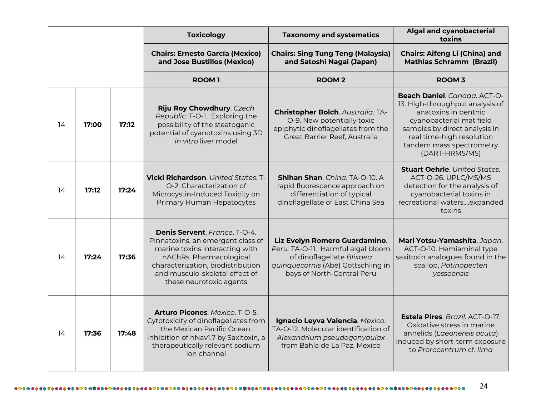|                      |    |                                                                                                                                                            |                                                                                                                                               | <b>Toxicology</b>                                                                                                                                                                                                                 | <b>Taxonomy and systematics</b>                                                                                                                                      | <b>Algal and cyanobacterial</b><br>toxins                                                                                                                          |
|----------------------|----|------------------------------------------------------------------------------------------------------------------------------------------------------------|-----------------------------------------------------------------------------------------------------------------------------------------------|-----------------------------------------------------------------------------------------------------------------------------------------------------------------------------------------------------------------------------------|----------------------------------------------------------------------------------------------------------------------------------------------------------------------|--------------------------------------------------------------------------------------------------------------------------------------------------------------------|
|                      |    |                                                                                                                                                            |                                                                                                                                               | <b>Chairs: Ernesto García (Mexico)</b><br>and Jose Bustillos (Mexico)                                                                                                                                                             | <b>Chairs: Sing Tung Teng (Malaysia)</b><br>and Satoshi Nagai (Japan)                                                                                                | <b>Chairs: Aifeng Li (China) and</b><br><b>Mathias Schramm (Brazil)</b>                                                                                            |
|                      |    |                                                                                                                                                            |                                                                                                                                               | <b>ROOM1</b>                                                                                                                                                                                                                      | <b>ROOM2</b>                                                                                                                                                         | <b>ROOM 3</b>                                                                                                                                                      |
| 17:00<br>17:12<br>14 |    | Riju Roy Chowdhury. Czech<br>Republic. T-O-1. Exploring the<br>possibility of the steatogenic<br>potential of cyanotoxins using 3D<br>in vitro liver model | <b>Christopher Bolch. Australia. TA-</b><br>O-9. New potentially toxic<br>epiphytic dinoflagellates from the<br>Great Barrier Reef, Australia | Beach Daniel. Canada. ACT-O-<br>13. High-throughput analysis of<br>anatoxins in benthic<br>cyanobacterial mat field<br>samples by direct analysis in<br>real time-high resolution<br>tandem mass spectrometry<br>(DART-HRMS/MS)   |                                                                                                                                                                      |                                                                                                                                                                    |
|                      | 14 | 17:12                                                                                                                                                      | 17:24                                                                                                                                         | <b>Vicki Richardson</b> . United States. T-<br>O-2. Characterization of<br>Microcystin-Induced Toxicity on<br>Primary Human Hepatocytes                                                                                           | Shihan Shan. Ching. TA-O-10. A<br>rapid fluorescence approach on<br>differentiation of typical<br>dinoflagellate of East China Sea                                   | <b>Stuart Oehrle.</b> United States.<br>ACT-O-26. UPLC/MS/MS<br>detection for the analysis of<br>cyanobacterial toxins in<br>recreational watersexpanded<br>toxins |
|                      | 14 | 17:24                                                                                                                                                      | 17:36                                                                                                                                         | Denis Servent. France. T-O-4.<br>Pinnatoxins, an emergent class of<br>marine toxins interacting with<br>nAChRs. Pharmacological<br>characterization, biodistribution<br>and musculo-skeletal effect of<br>these neurotoxic agents | Liz Evelyn Romero Guardamino.<br>Peru. TA-O-11. Harmful algal bloom<br>of dinoflagellate Blixaea<br>quinquecornis (Abé) Gottschling in<br>bays of North-Central Peru | Mari Yotsu-Yamashita. Japan.<br>ACT-O-10. Hemiaminal type<br>saxitoxin analogues found in the<br>scallop, Patinopecten<br>yessoensis                               |
|                      | 14 | 17:36                                                                                                                                                      | 17:48                                                                                                                                         | Arturo Picones. Mexico. T-O-5.<br>Cytotoxicity of dinoflagellates from<br>the Mexican Pacific Ocean:<br>Inhibition of hNavl.7 by Saxitoxin, a<br>therapeutically relevant sodium<br>ion channel                                   | Ignacio Leyva Valencia. Mexico.<br>TA-O-12. Molecular identification of<br>Alexandrium pseudogonyaulax<br>from Bahía de La Paz, Mexico                               | Estela Pires. Brazil. ACT-O-17.<br>Oxidative stress in marine<br>annelids (Laeonereis acuta)<br>induced by short-term exposure<br>to Prorocentrum cf. lima         |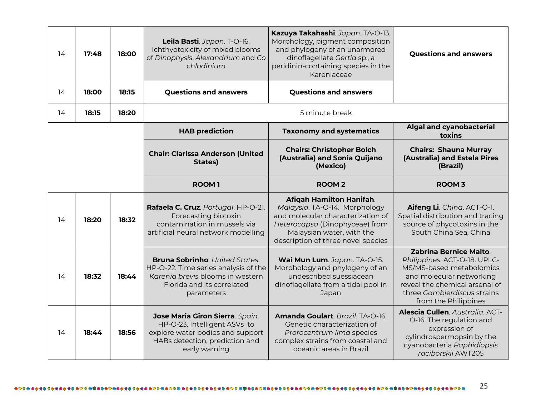| 14                                                                                                                                                                                    | 17:48 | 18:00                                                                                                                                     | Leila Basti. Japan. T-O-16.<br>Ichthyotoxicity of mixed blooms<br>of Dinophysis, Alexandrium and Co<br>chlodinium                                                                                              | Kazuya Takahashi. Japan. TA-O-13.<br>Morphology, pigment composition<br>and phylogeny of an unarmored<br><b>Questions and answers</b><br>dinoflagellate Gertia sp., a<br>peridinin-containing species in the<br>Kareniaceae                                                                                                  |                                                                                                                          |
|---------------------------------------------------------------------------------------------------------------------------------------------------------------------------------------|-------|-------------------------------------------------------------------------------------------------------------------------------------------|----------------------------------------------------------------------------------------------------------------------------------------------------------------------------------------------------------------|------------------------------------------------------------------------------------------------------------------------------------------------------------------------------------------------------------------------------------------------------------------------------------------------------------------------------|--------------------------------------------------------------------------------------------------------------------------|
| 14                                                                                                                                                                                    | 18:00 | 18:15                                                                                                                                     | <b>Questions and answers</b>                                                                                                                                                                                   | <b>Questions and answers</b>                                                                                                                                                                                                                                                                                                 |                                                                                                                          |
| 14                                                                                                                                                                                    | 18:15 | 18:20                                                                                                                                     |                                                                                                                                                                                                                | 5 minute break                                                                                                                                                                                                                                                                                                               |                                                                                                                          |
|                                                                                                                                                                                       |       |                                                                                                                                           | <b>HAB prediction</b>                                                                                                                                                                                          | <b>Taxonomy and systematics</b>                                                                                                                                                                                                                                                                                              | Algal and cyanobacterial<br>toxins                                                                                       |
|                                                                                                                                                                                       |       |                                                                                                                                           | <b>Chair: Clarissa Anderson (United</b><br>States)                                                                                                                                                             | <b>Chairs: Christopher Bolch</b><br>(Australia) and Sonia Quijano<br>(Mexico)                                                                                                                                                                                                                                                | <b>Chairs: Shauna Murray</b><br>(Australia) and Estela Pires<br>(Brazil)                                                 |
|                                                                                                                                                                                       |       |                                                                                                                                           | <b>ROOM1</b>                                                                                                                                                                                                   | <b>ROOM2</b>                                                                                                                                                                                                                                                                                                                 | <b>ROOM 3</b>                                                                                                            |
| 14                                                                                                                                                                                    | 18:20 | 18:32                                                                                                                                     | Rafaela C. Cruz. Portugal. HP-O-21.<br>Forecasting biotoxin<br>contamination in mussels via<br>artificial neural network modelling                                                                             | Afiqah Hamilton Hanifah.<br>Malaysia. TA-O-14. Morphology<br>and molecular characterization of<br>Heterocapsa (Dinophyceae) from<br>Malaysian water, with the<br>description of three novel species                                                                                                                          | Aifeng Li. China. ACT-O-1.<br>Spatial distribution and tracing<br>source of phycotoxins in the<br>South China Sea, China |
| <b>Bruna Sobrinho.</b> United States.<br>HP-O-22. Time series analysis of the<br>Karenia brevis blooms in western<br>18:32<br>18:44<br>14<br>Florida and its correlated<br>parameters |       | Wai Mun Lum. Japan. TA-O-15.<br>Morphology and phylogeny of an<br>undescribed suessiacean<br>dinoflagellate from a tidal pool in<br>Japan | <b>Zabrina Bernice Malto.</b><br>Philippines. ACT-O-18. UPLC-<br>MS/MS-based metabolomics<br>and molecular networking<br>reveal the chemical arsenal of<br>three Gambierdiscus strains<br>from the Philippines |                                                                                                                                                                                                                                                                                                                              |                                                                                                                          |
| 14                                                                                                                                                                                    | 18:44 | 18:56                                                                                                                                     | Jose Maria Giron Sierra. Spain.<br>HP-O-23. Intelligent ASVs to<br>explore water bodies and support<br>HABs detection, prediction and<br>early warning                                                         | Alescia Cullen. Australia. ACT-<br>Amanda Goulart. Brazil. TA-O-16.<br>O-16. The regulation and<br>Genetic characterization of<br>expression of<br>Prorocentrum lima species<br>cylindrospermopsin by the<br>complex strains from coastal and<br>cyanobacteria Raphidiopsis<br>oceanic areas in Brazil<br>raciborskij AWT205 |                                                                                                                          |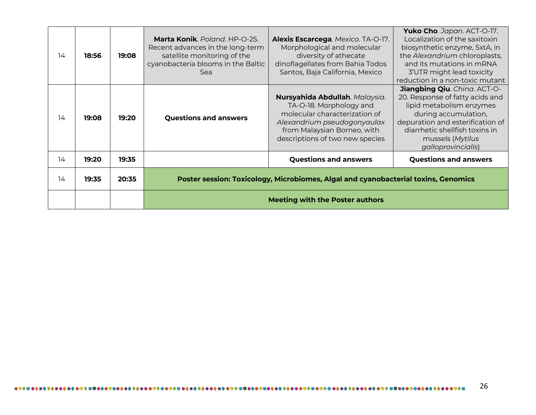| 14 | 18:56 | 19:08 | Marta Konik. Poland. HP-O-25.<br>Recent advances in the long-term<br>satellite monitoring of the<br>cyanobacteria blooms in the Baltic<br>Sea | Alexis Escarcega. Mexico. TA-O-17.<br>Morphological and molecular<br>diversity of athecate<br>dinoflagellates from Bahia Todos<br>Santos, Baja California, Mexico                           | Yuko Cho. Japan. ACT-O-17.<br>Localization of the saxitoxin<br>biosynthetic enzyme, SxtA, in<br>the Alexandrium chloroplasts,<br>and its mutations in mRNA<br>3'UTR might lead toxicity<br>reduction in a non-toxic mutant          |
|----|-------|-------|-----------------------------------------------------------------------------------------------------------------------------------------------|---------------------------------------------------------------------------------------------------------------------------------------------------------------------------------------------|-------------------------------------------------------------------------------------------------------------------------------------------------------------------------------------------------------------------------------------|
| 14 | 19:08 | 19:20 | <b>Questions and answers</b>                                                                                                                  | Nursyahida Abdullah. Malaysia.<br>TA-O-18. Morphology and<br>molecular characterization of<br>Alexandrium pseudogonyaulax<br>from Malaysian Borneo, with<br>descriptions of two new species | Jiangbing Qiu. China. ACT-O-<br>20. Response of fatty acids and<br>lipid metabolism enzymes<br>during accumulation,<br>depuration and esterification of<br>diarrhetic shellfish toxins in<br>mussels (Mytilus<br>galloprovincialis) |
| 14 | 19:20 | 19:35 |                                                                                                                                               | <b>Questions and answers</b>                                                                                                                                                                | <b>Questions and answers</b>                                                                                                                                                                                                        |
| 14 | 19:35 | 20:35 | Poster session: Toxicology, Microbiomes, Algal and cyanobacterial toxins, Genomics                                                            |                                                                                                                                                                                             |                                                                                                                                                                                                                                     |
|    |       |       | <b>Meeting with the Poster authors</b>                                                                                                        |                                                                                                                                                                                             |                                                                                                                                                                                                                                     |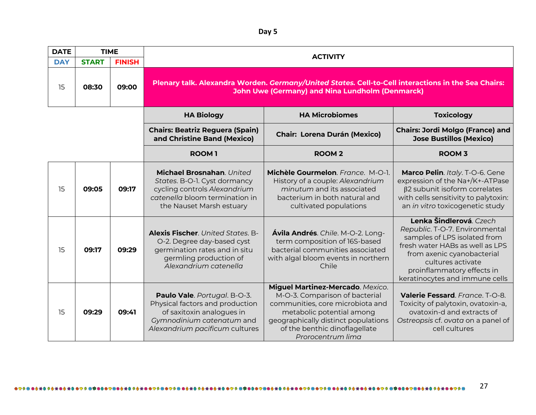**Day 5**

| <b>DATE</b><br><b>TIME</b> |              |               |                                                                                                                                                               |                                                                                                                                                                                                                                  |                                                                                                                                                                                                                                                 |  |
|----------------------------|--------------|---------------|---------------------------------------------------------------------------------------------------------------------------------------------------------------|----------------------------------------------------------------------------------------------------------------------------------------------------------------------------------------------------------------------------------|-------------------------------------------------------------------------------------------------------------------------------------------------------------------------------------------------------------------------------------------------|--|
| <b>DAY</b>                 | <b>START</b> | <b>FINISH</b> |                                                                                                                                                               | <b>ACTIVITY</b>                                                                                                                                                                                                                  |                                                                                                                                                                                                                                                 |  |
| 15                         | 08:30        | 09:00         | Plenary talk. Alexandra Worden. Germany/United States. Cell-to-Cell interactions in the Sea Chairs:<br><b>John Uwe (Germany) and Nina Lundholm (Denmarck)</b> |                                                                                                                                                                                                                                  |                                                                                                                                                                                                                                                 |  |
|                            |              |               | <b>HA Biology</b>                                                                                                                                             | <b>HA Microbiomes</b>                                                                                                                                                                                                            | <b>Toxicology</b>                                                                                                                                                                                                                               |  |
|                            |              |               | <b>Chairs: Beatriz Reguera (Spain)</b><br>and Christine Band (Mexico)                                                                                         | <b>Chair: Lorena Durán (Mexico)</b>                                                                                                                                                                                              | <b>Chairs: Jordi Molgo (France) and</b><br><b>Jose Bustillos (Mexico)</b>                                                                                                                                                                       |  |
|                            |              |               | <b>ROOM1</b>                                                                                                                                                  | <b>ROOM2</b>                                                                                                                                                                                                                     | <b>ROOM 3</b>                                                                                                                                                                                                                                   |  |
| 15                         | 09:05        | 09:17         | Michael Brosnahan. United<br>States. B-O-1. Cyst dormancy<br>cycling controls Alexandrium<br>catenella bloom termination in<br>the Nauset Marsh estuary       | Michèle Gourmelon. France. M-O-1.<br>History of a couple: Alexandrium<br>minutum and its associated<br>bacterium in both natural and<br>cultivated populations                                                                   | Marco Pelin. Italy. T-O-6. Gene<br>expression of the Na+/K+-ATPase<br>β2 subunit isoform correlates<br>with cells sensitivity to palytoxin:<br>an in vitro toxicogenetic study                                                                  |  |
| 15                         | 09:17        | 09:29         | <b>Alexis Fischer</b> . United States. B-<br>O-2. Degree day-based cyst<br>germination rates and in situ<br>germling production of<br>Alexandrium catenella   | Ávila Andrés. Chile. M-O-2. Long-<br>term composition of 16S-based<br>bacterial communities associated<br>with algal bloom events in northern<br>Chile                                                                           | Lenka Šindlerová. Czech<br>Republic. T-O-7. Environmental<br>samples of LPS isolated from<br>fresh water HABs as well as LPS<br>from axenic cyanobacterial<br>cultures activate<br>proinflammatory effects in<br>keratinocytes and immune cells |  |
| 15                         | 09:29        | 09:41         | Paulo Vale. Portugal. B-O-3.<br>Physical factors and production<br>of saxitoxin analogues in<br>Gymnodinium catenatum and<br>Alexandrium pacificum cultures   | Miguel Martinez-Mercado. Mexico.<br>M-O-3. Comparison of bacterial<br>communities, core microbiota and<br>metabolic potential among<br>geographically distinct populations<br>of the benthic dinoflagellate<br>Prorocentrum lima | Valerie Fessard. France. T-O-8.<br>Toxicity of palytoxin, ovatoxin-a,<br>ovatoxin-d and extracts of<br>Ostreopsis cf. ovata on a panel of<br>cell cultures                                                                                      |  |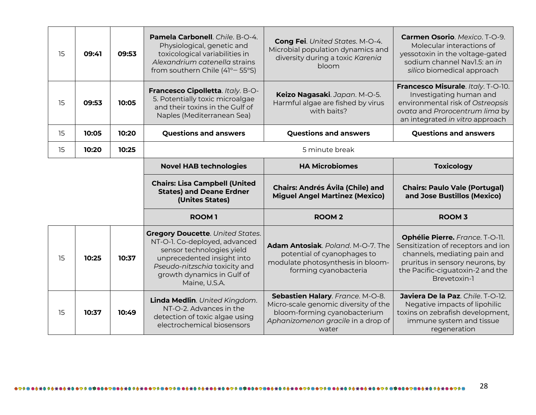| 15 | 09:41 | 09:53 | Pamela Carbonell. Chile. B-O-4.<br>Physiological, genetic and<br>toxicological variabilities in<br>Alexandrium catenella strains<br>from southern Chile (41° – 55°S)                                                | Cong Fei. United States. M-O-4.<br>Microbial population dynamics and<br>diversity during a toxic Karenia<br>bloom              | Carmen Osorio. Mexico. T-O-9.<br>Molecular interactions of<br>yessotoxin in the voltage-gated<br>sodium channel Navl.5: an in<br>silico biomedical approach                                  |  |
|----|-------|-------|---------------------------------------------------------------------------------------------------------------------------------------------------------------------------------------------------------------------|--------------------------------------------------------------------------------------------------------------------------------|----------------------------------------------------------------------------------------------------------------------------------------------------------------------------------------------|--|
| 15 | 09:53 | 10:05 | Francesco Cipolletta. Italy. B-O-<br>5. Potentially toxic microalgae<br>and their toxins in the Gulf of<br>Naples (Mediterranean Sea)                                                                               | Keizo Nagasaki. Japan. M-O-5.<br>Harmful algae are fished by virus<br>with baits?                                              | Francesco Misurale. Italy. T-O-10.<br>Investigating human and<br>environmental risk of Ostreopsis<br>ovata and Prorocentrum lima by<br>an integrated in vitro approach                       |  |
| 15 | 10:05 | 10:20 | <b>Questions and answers</b>                                                                                                                                                                                        | <b>Questions and answers</b>                                                                                                   | <b>Questions and answers</b>                                                                                                                                                                 |  |
| 15 | 10:20 | 10:25 |                                                                                                                                                                                                                     | 5 minute break                                                                                                                 |                                                                                                                                                                                              |  |
|    |       |       | <b>Novel HAB technologies</b>                                                                                                                                                                                       | <b>HA Microbiomes</b>                                                                                                          | <b>Toxicology</b>                                                                                                                                                                            |  |
|    |       |       | <b>Chairs: Lisa Campbell (United</b><br><b>States) and Deane Erdner</b><br>(Unites States)                                                                                                                          | <b>Chairs: Andrés Ávila (Chile) and</b><br><b>Miguel Angel Martinez (Mexico)</b>                                               | <b>Chairs: Paulo Vale (Portugal)</b><br>and Jose Bustillos (Mexico)                                                                                                                          |  |
|    |       |       | <b>ROOM1</b>                                                                                                                                                                                                        | <b>ROOM2</b>                                                                                                                   | <b>ROOM 3</b>                                                                                                                                                                                |  |
| 15 | 10:25 | 10:37 | <b>Gregory Doucette. United States.</b><br>NT-O-1. Co-deployed, advanced<br>sensor technologies yield<br>unprecedented insight into<br>Pseudo-nitzschia toxicity and<br>growth dynamics in Gulf of<br>Maine, U.S.A. | Adam Antosiak, Poland, M-O-7. The<br>potential of cyanophages to<br>modulate photosynthesis in bloom-<br>forming cyanobacteria | Ophélie Pierre. France. T-O-11.<br>Sensitization of receptors and ion<br>channels, mediating pain and<br>pruritus in sensory neurons, by<br>the Pacific-ciguatoxin-2 and the<br>Brevetoxin-1 |  |
| 15 | 10:37 | 10:49 | Linda Medlin. United Kingdom.<br>NT-O-2. Advances in the                                                                                                                                                            | Sebastien Halary. France. M-O-8.<br>Micro-scale genomic diversity of the<br>bloom-forming cyanobacterium                       | Javiera De la Paz. Chile. T-O-12.<br>Negative impacts of lipohilic<br>toxins on zebrafish development,                                                                                       |  |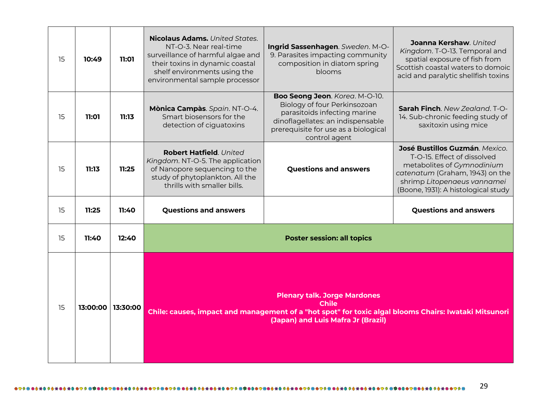| 15 | 10:49    | 11:01    | <b>Nicolaus Adams.</b> United States.<br>NT-O-3. Near real-time<br>surveillance of harmful algae and<br>their toxins in dynamic coastal<br>shelf environments using the<br>environmental sample processor | Ingrid Sassenhagen. Sweden. M-O-<br>9. Parasites impacting community<br>composition in diatom spring<br>blooms                                                                               | Joanna Kershaw. United<br>Kingdom. T-O-13. Temporal and<br>spatial exposure of fish from<br>Scottish coastal waters to domoic<br>acid and paralytic shellfish toxins                                 |
|----|----------|----------|-----------------------------------------------------------------------------------------------------------------------------------------------------------------------------------------------------------|----------------------------------------------------------------------------------------------------------------------------------------------------------------------------------------------|------------------------------------------------------------------------------------------------------------------------------------------------------------------------------------------------------|
| 15 | 11:01    | 11:13    | Mònica Campàs. Spain. NT-O-4.<br>Smart biosensors for the<br>detection of ciguatoxins                                                                                                                     | Boo Seong Jeon. Korea. M-O-10.<br>Biology of four Perkinsozoan<br>parasitoids infecting marine<br>dinoflagellates: an indispensable<br>prerequisite for use as a biological<br>control agent | Sarah Finch. New Zealand. T-O-<br>14. Sub-chronic feeding study of<br>saxitoxin using mice                                                                                                           |
| 15 | 11:13    | 11:25    | Robert Hatfield. United<br>Kingdom. NT-O-5. The application<br>of Nanopore sequencing to the<br>study of phytoplankton. All the<br>thrills with smaller bills.                                            | <b>Questions and answers</b>                                                                                                                                                                 | José Bustillos Guzmán, Mexico.<br>T-O-15. Effect of dissolved<br>metabolites of Gymnodinium<br>catenatum (Graham, 1943) on the<br>shrimp Litopenaeus vannamei<br>(Boone, 1931): A histological study |
| 15 | 11:25    | 11:40    | <b>Questions and answers</b>                                                                                                                                                                              |                                                                                                                                                                                              | <b>Questions and answers</b>                                                                                                                                                                         |
| 15 | 11:40    | 12:40    | <b>Poster session: all topics</b>                                                                                                                                                                         |                                                                                                                                                                                              |                                                                                                                                                                                                      |
| 15 | 13:00:00 | 13:30:00 | <b>Plenary talk. Jorge Mardones</b><br><b>Chile</b><br>Chile: causes, impact and management of a "hot spot" for toxic algal blooms Chairs: Iwataki Mitsunori<br>(Japan) and Luis Mafra Jr (Brazil)        |                                                                                                                                                                                              |                                                                                                                                                                                                      |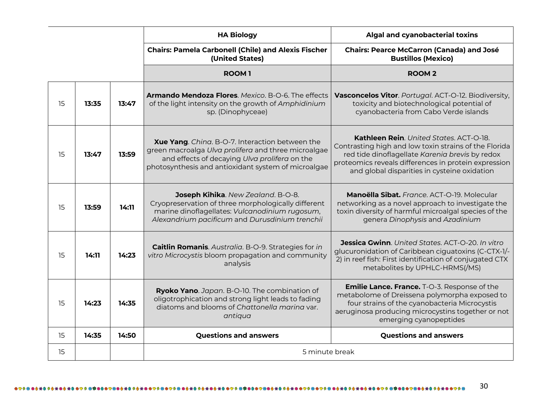|    |       |       | <b>HA Biology</b>                                                                                                                                                                                              | Algal and cyanobacterial toxins                                                                                                                                                                                                                                     |
|----|-------|-------|----------------------------------------------------------------------------------------------------------------------------------------------------------------------------------------------------------------|---------------------------------------------------------------------------------------------------------------------------------------------------------------------------------------------------------------------------------------------------------------------|
|    |       |       | <b>Chairs: Pamela Carbonell (Chile) and Alexis Fischer</b><br>(United States)                                                                                                                                  | <b>Chairs: Pearce McCarron (Canada) and José</b><br><b>Bustillos (Mexico)</b>                                                                                                                                                                                       |
|    |       |       | <b>ROOM1</b>                                                                                                                                                                                                   | <b>ROOM2</b>                                                                                                                                                                                                                                                        |
| 15 | 13:35 | 13:47 | <b>Armando Mendoza Flores.</b> Mexico. B-O-6. The effects<br>of the light intensity on the growth of Amphidinium<br>sp. (Dinophyceae)                                                                          | Vasconcelos Vitor. Portugal. ACT-O-12. Biodiversity,<br>toxicity and biotechnological potential of<br>cyanobacteria from Cabo Verde islands                                                                                                                         |
| 15 | 13:47 | 13:59 | Xue Yang. Ching. B-O-7. Interaction between the<br>green macroalga Ulva prolifera and three microalgae<br>and effects of decaying Ulva prolifera on the<br>photosynthesis and antioxidant system of microalgae | <b>Kathleen Rein</b> . United States. ACT-O-18.<br>Contrasting high and low toxin strains of the Florida<br>red tide dinoflagellate Karenia brevis by redox<br>proteomics reveals differences in protein expression<br>and global disparities in cysteine oxidation |
| 15 | 13:59 | 14:11 | Joseph Kihika. New Zealand. B-O-8.<br>Cryopreservation of three morphologically different<br>marine dinoflagellates: Vulcanodinium rugosum,<br>Alexandrium pacificum and Durusdinium trenchii                  | Manoëlla Sibat. France. ACT-O-19. Molecular<br>networking as a novel approach to investigate the<br>toxin diversity of harmful microalgal species of the<br>genera Dinophysis and Azadinium                                                                         |
| 15 | 14:11 | 14:23 | <b>Caitlin Romanis.</b> Australia. B-O-9. Strategies for in<br>vitro Microcystis bloom propagation and community<br>analysis                                                                                   | <b>Jessica Gwinn</b> . United States. ACT-O-20. In vitro<br>glucuronidation of Caribbean ciguatoxins (C-CTX-1/-<br>2) in reef fish: First identification of conjugated CTX<br>metabolites by UPHLC-HRMS(/MS)                                                        |
| 15 | 14:23 | 14:35 | Ryoko Yano. Japan. B-O-10. The combination of<br>oligotrophication and strong light leads to fading<br>diatoms and blooms of Chattonella marina var.<br>antiqua                                                | <b>Emilie Lance. France.</b> T-O-3. Response of the<br>metabolome of Dreissena polymorpha exposed to<br>four strains of the cyanobacteria Microcystis<br>aeruginosa producing microcystins together or not<br>emerging cyanopeptides                                |
| 15 | 14:35 | 14:50 | <b>Questions and answers</b>                                                                                                                                                                                   | <b>Questions and answers</b>                                                                                                                                                                                                                                        |
| 15 |       |       | 5 minute break                                                                                                                                                                                                 |                                                                                                                                                                                                                                                                     |